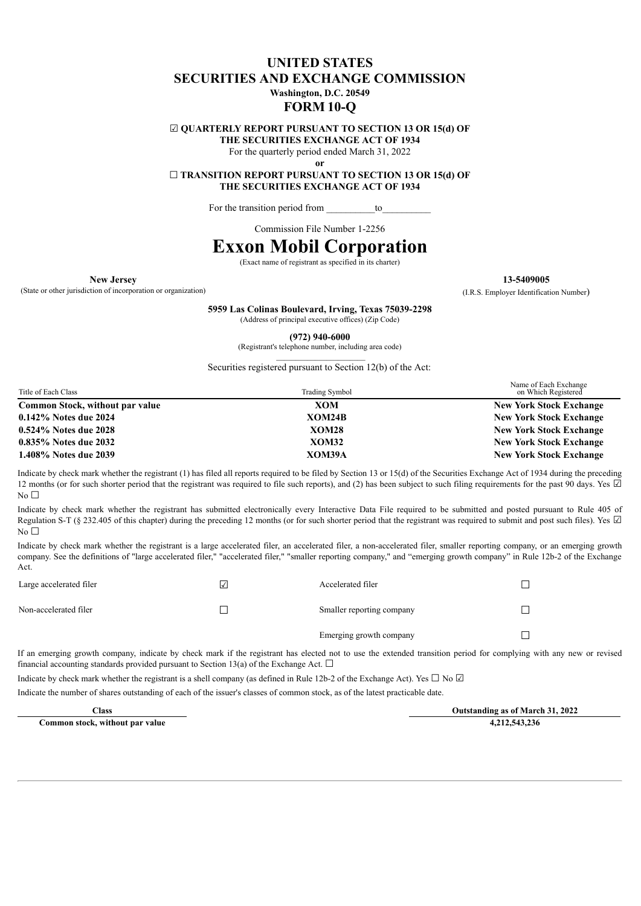## **UNITED STATES SECURITIES AND EXCHANGE COMMISSION Washington, D.C. 20549 FORM 10-Q**

☑ **QUARTERLY REPORT PURSUANT TO SECTION 13 OR 15(d) OF THE SECURITIES EXCHANGE ACT OF 1934**

For the quarterly period ended March 31, 2022 **or**

☐ **TRANSITION REPORT PURSUANT TO SECTION 13 OR 15(d) OF THE SECURITIES EXCHANGE ACT OF 1934**

For the transition period from to

Commission File Number 1-2256

# **Exxon Mobil Corporation**

(Exact name of registrant as specified in its charter)

(State or other jurisdiction of incorporation or organization)

**New Jersey 13-5409005** (I.R.S. Employer Identification Number)

> **5959 Las Colinas Boulevard, Irving, Texas 75039-2298** (Address of principal executive offices) (Zip Code)

> > **(972) 940-6000**

(Registrant's telephone number, including area code) \_\_\_\_\_\_\_\_\_\_\_\_\_\_\_\_\_\_\_\_\_\_\_

Securities registered pursuant to Section 12(b) of the Act:

| Title of Each Class             | <b>Trading Symbol</b> | Name of Each Exchange<br>on Which Registered |
|---------------------------------|-----------------------|----------------------------------------------|
| Common Stock, without par value | <b>XOM</b>            | <b>New York Stock Exchange</b>               |
| $0.142\%$ Notes due 2024        | XOM24B                | <b>New York Stock Exchange</b>               |
| $0.524\%$ Notes due 2028        | <b>XOM28</b>          | <b>New York Stock Exchange</b>               |
| 0.835% Notes due 2032           | <b>XOM32</b>          | <b>New York Stock Exchange</b>               |
| 1.408% Notes due 2039           | XOM39A                | <b>New York Stock Exchange</b>               |

Indicate by check mark whether the registrant (1) has filed all reports required to be filed by Section 13 or 15(d) of the Securities Exchange Act of 1934 during the preceding 12 months (or for such shorter period that the registrant was required to file such reports), and (2) has been subject to such filing requirements for the past 90 days. Yes ☑  $N_0$  $\Box$ 

Indicate by check mark whether the registrant has submitted electronically every Interactive Data File required to be submitted and posted pursuant to Rule 405 of Regulation S-T (§ 232.405 of this chapter) during the preceding 12 months (or for such shorter period that the registrant was required to submit and post such files). Yes  $\boxtimes$  $N_0$  $\Box$ 

Indicate by check mark whether the registrant is a large accelerated filer, an accelerated filer, a non-accelerated filer, smaller reporting company, or an emerging growth company. See the definitions of "large accelerated filer," "accelerated filer," "smaller reporting company," and "emerging growth company" in Rule 12b-2 of the Exchange Act.

| Large accelerated filer | Accelerated filer         |  |
|-------------------------|---------------------------|--|
| Non-accelerated filer   | Smaller reporting company |  |
|                         | Emerging growth company   |  |

If an emerging growth company, indicate by check mark if the registrant has elected not to use the extended transition period for complying with any new or revised financial accounting standards provided pursuant to Section 13(a) of the Exchange Act.  $\Box$ 

Indicate by check mark whether the registrant is a shell company (as defined in Rule 12b-2 of the Exchange Act). Yes  $\Box$  No  $\Box$ Indicate the number of shares outstanding of each of the issuer's classes of common stock, as of the latest practicable date.

**Class Outstanding as of March 31, 2022**

**Common stock, without par value 4,212,543,236**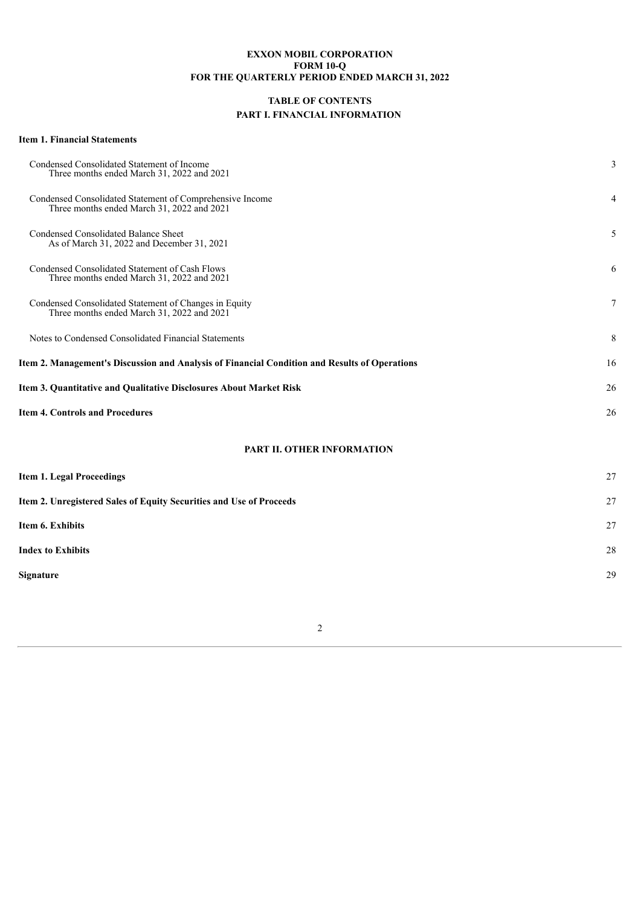### **EXXON MOBIL CORPORATION FORM 10-Q FOR THE QUARTERLY PERIOD ENDED MARCH 31, 2022**

## **TABLE OF CONTENTS PART I. FINANCIAL INFORMATION**

## **Item 1. Financial Statements**

| Condensed Consolidated Statement of Income<br>Three months ended March 31, 2022 and 2021               | $\mathfrak{Z}$ |
|--------------------------------------------------------------------------------------------------------|----------------|
| Condensed Consolidated Statement of Comprehensive Income<br>Three months ended March 31, 2022 and 2021 | 4              |
| <b>Condensed Consolidated Balance Sheet</b><br>As of March 31, 2022 and December 31, 2021              | 5              |
| Condensed Consolidated Statement of Cash Flows<br>Three months ended March 31, 2022 and 2021           | 6              |
| Condensed Consolidated Statement of Changes in Equity<br>Three months ended March 31, 2022 and 2021    | 7              |
| Notes to Condensed Consolidated Financial Statements                                                   | 8              |
| Item 2. Management's Discussion and Analysis of Financial Condition and Results of Operations          | 16             |
| Item 3. Quantitative and Qualitative Disclosures About Market Risk                                     | 26             |
| <b>Item 4. Controls and Procedures</b>                                                                 | 26             |
| PART II. OTHER INFORMATION                                                                             |                |
| <b>Item 1. Legal Proceedings</b>                                                                       | 27             |
| Item 2. Unregistered Sales of Equity Securities and Use of Proceeds                                    | 27             |
| Item 6. Exhibits                                                                                       | 27             |
| <b>Index to Exhibits</b>                                                                               | 28             |
| Signature                                                                                              | 29             |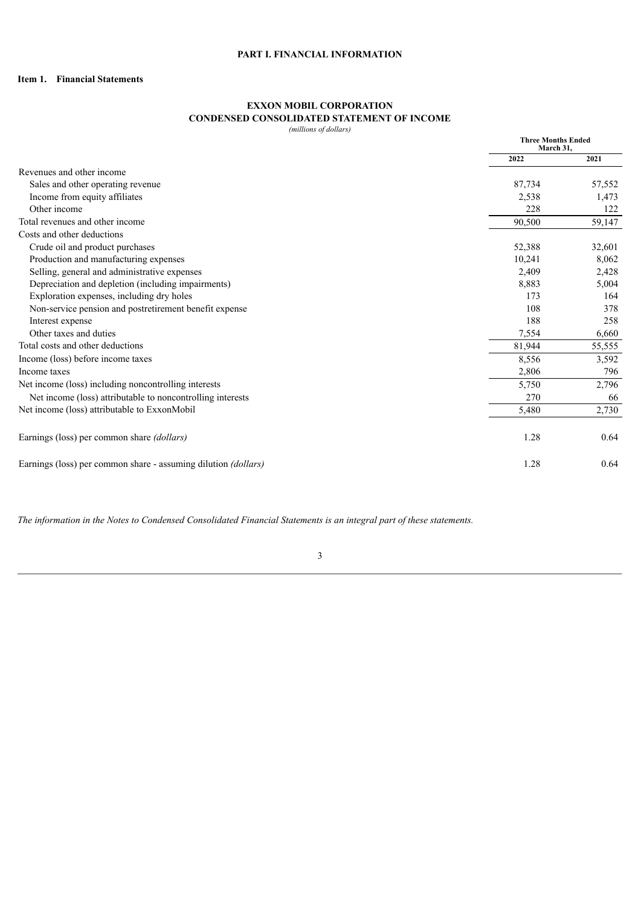## **Item 1. Financial Statements**

### **EXXON MOBIL CORPORATION**

## **CONDENSED CONSOLIDATED STATEMENT OF INCOME**

*(millions of dollars)*

|                                                                | <b>Three Months Ended</b><br>March 31, |        |
|----------------------------------------------------------------|----------------------------------------|--------|
|                                                                | 2022                                   | 2021   |
| Revenues and other income                                      |                                        |        |
| Sales and other operating revenue                              | 87,734                                 | 57,552 |
| Income from equity affiliates                                  | 2,538                                  | 1,473  |
| Other income                                                   | 228                                    | 122    |
| Total revenues and other income                                | 90,500                                 | 59,147 |
| Costs and other deductions                                     |                                        |        |
| Crude oil and product purchases                                | 52,388                                 | 32,601 |
| Production and manufacturing expenses                          | 10,241                                 | 8,062  |
| Selling, general and administrative expenses                   | 2,409                                  | 2,428  |
| Depreciation and depletion (including impairments)             | 8,883                                  | 5,004  |
| Exploration expenses, including dry holes                      | 173                                    | 164    |
| Non-service pension and postretirement benefit expense         | 108                                    | 378    |
| Interest expense                                               | 188                                    | 258    |
| Other taxes and duties                                         | 7,554                                  | 6,660  |
| Total costs and other deductions                               | 81,944                                 | 55,555 |
| Income (loss) before income taxes                              | 8,556                                  | 3,592  |
| Income taxes                                                   | 2,806                                  | 796    |
| Net income (loss) including noncontrolling interests           | 5,750                                  | 2,796  |
| Net income (loss) attributable to noncontrolling interests     | 270                                    | 66     |
| Net income (loss) attributable to ExxonMobil                   | 5,480                                  | 2,730  |
| Earnings (loss) per common share <i>(dollars)</i>              | 1.28                                   | 0.64   |
| Earnings (loss) per common share - assuming dilution (dollars) | 1.28                                   | 0.64   |

The information in the Notes to Condensed Consolidated Financial Statements is an integral part of these statements.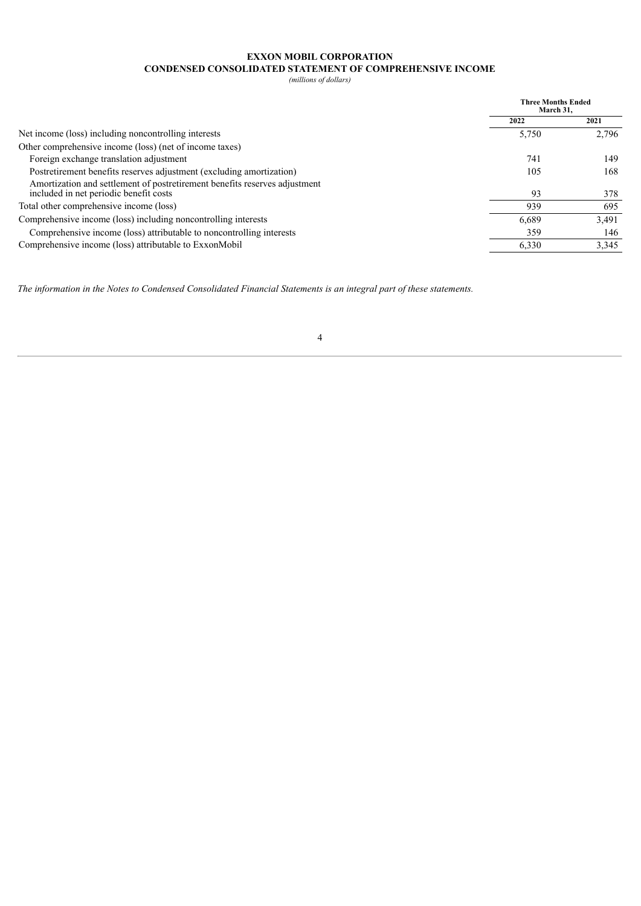## **EXXON MOBIL CORPORATION CONDENSED CONSOLIDATED STATEMENT OF COMPREHENSIVE INCOME**

*(millions of dollars)*

|                                                                                                                      | <b>Three Months Ended</b><br>March 31, |       |
|----------------------------------------------------------------------------------------------------------------------|----------------------------------------|-------|
|                                                                                                                      | 2022                                   | 2021  |
| Net income (loss) including noncontrolling interests                                                                 | 5,750                                  | 2,796 |
| Other comprehensive income (loss) (net of income taxes)                                                              |                                        |       |
| Foreign exchange translation adjustment                                                                              | 741                                    | 149   |
| Postretirement benefits reserves adjustment (excluding amortization)                                                 | 105                                    | 168   |
| Amortization and settlement of postretirement benefits reserves adjustment<br>included in net periodic benefit costs | 93                                     | 378   |
| Total other comprehensive income (loss)                                                                              | 939                                    | 695   |
| Comprehensive income (loss) including noncontrolling interests                                                       | 6,689                                  | 3,491 |
| Comprehensive income (loss) attributable to noncontrolling interests                                                 | 359                                    | 146   |
| Comprehensive income (loss) attributable to ExxonMobil                                                               | 6,330                                  | 3,345 |

The information in the Notes to Condensed Consolidated Financial Statements is an integral part of these statements.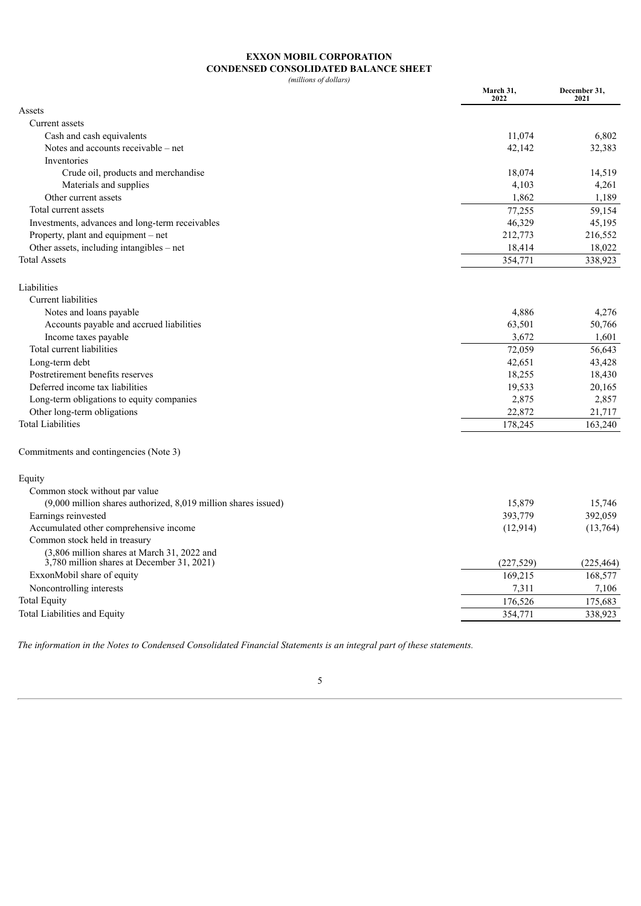## **EXXON MOBIL CORPORATION CONDENSED CONSOLIDATED BALANCE SHEET**

*(millions of dollars)*

|                                                                                               | March 31,<br>2022 | December 31,<br>2021 |
|-----------------------------------------------------------------------------------------------|-------------------|----------------------|
| Assets                                                                                        |                   |                      |
| Current assets                                                                                |                   |                      |
| Cash and cash equivalents                                                                     | 11,074            | 6,802                |
| Notes and accounts receivable – net                                                           | 42,142            | 32,383               |
| Inventories                                                                                   |                   |                      |
| Crude oil, products and merchandise                                                           | 18,074            | 14,519               |
| Materials and supplies                                                                        | 4,103             | 4,261                |
| Other current assets                                                                          | 1,862             | 1,189                |
| Total current assets                                                                          | 77,255            | 59,154               |
| Investments, advances and long-term receivables                                               | 46,329            | 45,195               |
| Property, plant and equipment – net                                                           | 212,773           | 216,552              |
| Other assets, including intangibles – net                                                     | 18,414            | 18,022               |
| <b>Total Assets</b>                                                                           | 354,771           | 338,923              |
| Liabilities                                                                                   |                   |                      |
| Current liabilities                                                                           |                   |                      |
| Notes and loans payable                                                                       | 4,886             | 4,276                |
| Accounts payable and accrued liabilities                                                      | 63,501            | 50,766               |
| Income taxes payable                                                                          | 3,672             | 1,601                |
| Total current liabilities                                                                     | 72,059            | 56,643               |
| Long-term debt                                                                                | 42,651            | 43,428               |
| Postretirement benefits reserves                                                              | 18,255            | 18,430               |
| Deferred income tax liabilities                                                               | 19,533            | 20,165               |
| Long-term obligations to equity companies                                                     | 2,875             | 2,857                |
| Other long-term obligations                                                                   | 22,872            | 21,717               |
| <b>Total Liabilities</b>                                                                      | 178,245           | 163,240              |
| Commitments and contingencies (Note 3)                                                        |                   |                      |
| Equity                                                                                        |                   |                      |
| Common stock without par value                                                                |                   |                      |
| (9,000 million shares authorized, 8,019 million shares issued)                                | 15,879            | 15,746               |
| Earnings reinvested                                                                           | 393,779           | 392,059              |
| Accumulated other comprehensive income                                                        | (12, 914)         | (13,764)             |
| Common stock held in treasury                                                                 |                   |                      |
| (3,806 million shares at March 31, 2022 and<br>$3,780$ million shares at December $31,2021$ ) | (227, 529)        | (225, 464)           |
| ExxonMobil share of equity                                                                    | 169,215           | 168,577              |
| Noncontrolling interests                                                                      | 7,311             | 7,106                |
| <b>Total Equity</b>                                                                           | 176,526           | 175,683              |
| Total Liabilities and Equity                                                                  | 354,771           | 338,923              |
|                                                                                               |                   |                      |

The information in the Notes to Condensed Consolidated Financial Statements is an integral part of these statements.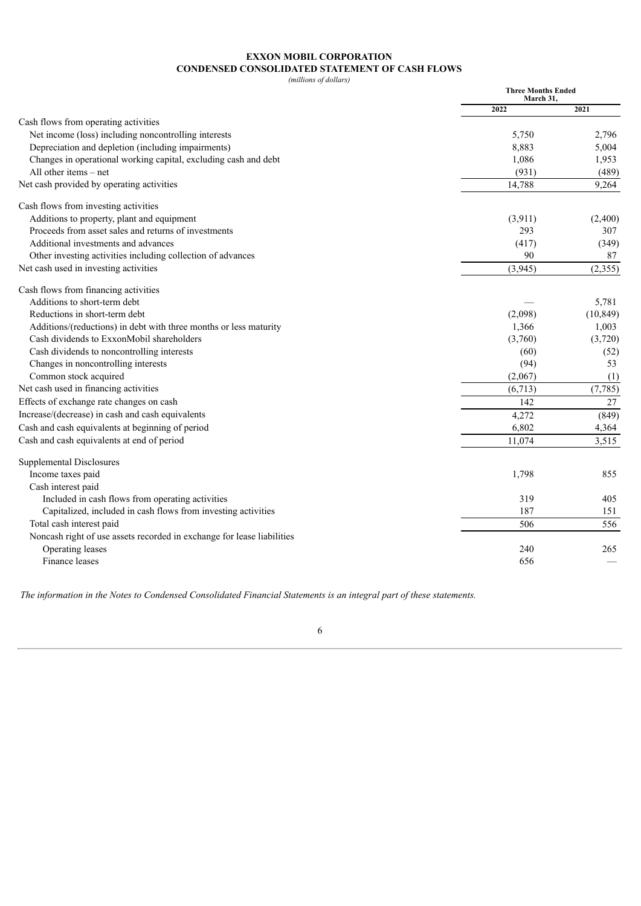## **EXXON MOBIL CORPORATION CONDENSED CONSOLIDATED STATEMENT OF CASH FLOWS**

*(millions of dollars)*

|                                                                        | <b>Three Months Ended</b><br>March 31, |           |  |
|------------------------------------------------------------------------|----------------------------------------|-----------|--|
|                                                                        | 2022                                   | 2021      |  |
| Cash flows from operating activities                                   |                                        |           |  |
| Net income (loss) including noncontrolling interests                   | 5,750                                  | 2,796     |  |
| Depreciation and depletion (including impairments)                     | 8,883                                  | 5,004     |  |
| Changes in operational working capital, excluding cash and debt        | 1,086                                  | 1,953     |  |
| All other items - net                                                  | (931)                                  | (489)     |  |
| Net cash provided by operating activities                              | 14,788                                 | 9,264     |  |
| Cash flows from investing activities                                   |                                        |           |  |
| Additions to property, plant and equipment                             | (3,911)                                | (2,400)   |  |
| Proceeds from asset sales and returns of investments                   | 293                                    | 307       |  |
| Additional investments and advances                                    | (417)                                  | (349)     |  |
| Other investing activities including collection of advances            | 90                                     | 87        |  |
| Net cash used in investing activities                                  | (3,945)                                | (2,355)   |  |
| Cash flows from financing activities                                   |                                        |           |  |
| Additions to short-term debt                                           |                                        | 5,781     |  |
| Reductions in short-term debt                                          | (2,098)                                | (10, 849) |  |
| Additions/(reductions) in debt with three months or less maturity      | 1,366                                  | 1,003     |  |
| Cash dividends to ExxonMobil shareholders                              | (3,760)                                | (3,720)   |  |
| Cash dividends to noncontrolling interests                             | (60)                                   | (52)      |  |
| Changes in noncontrolling interests                                    | (94)                                   | 53        |  |
| Common stock acquired                                                  | (2,067)                                | (1)       |  |
| Net cash used in financing activities                                  | (6,713)                                | (7,785)   |  |
| Effects of exchange rate changes on cash                               | 142                                    | 27        |  |
| Increase/(decrease) in cash and cash equivalents                       | 4,272                                  | (849)     |  |
| Cash and cash equivalents at beginning of period                       | 6,802                                  | 4,364     |  |
| Cash and cash equivalents at end of period                             | 11,074                                 | 3,515     |  |
| Supplemental Disclosures                                               |                                        |           |  |
| Income taxes paid                                                      | 1,798                                  | 855       |  |
| Cash interest paid                                                     |                                        |           |  |
| Included in cash flows from operating activities                       | 319                                    | 405       |  |
| Capitalized, included in cash flows from investing activities          | 187                                    | 151       |  |
| Total cash interest paid                                               | 506                                    | 556       |  |
| Noncash right of use assets recorded in exchange for lease liabilities |                                        |           |  |
| Operating leases                                                       | 240                                    | 265       |  |
| Finance leases                                                         | 656                                    |           |  |

The information in the Notes to Condensed Consolidated Financial Statements is an integral part of these statements.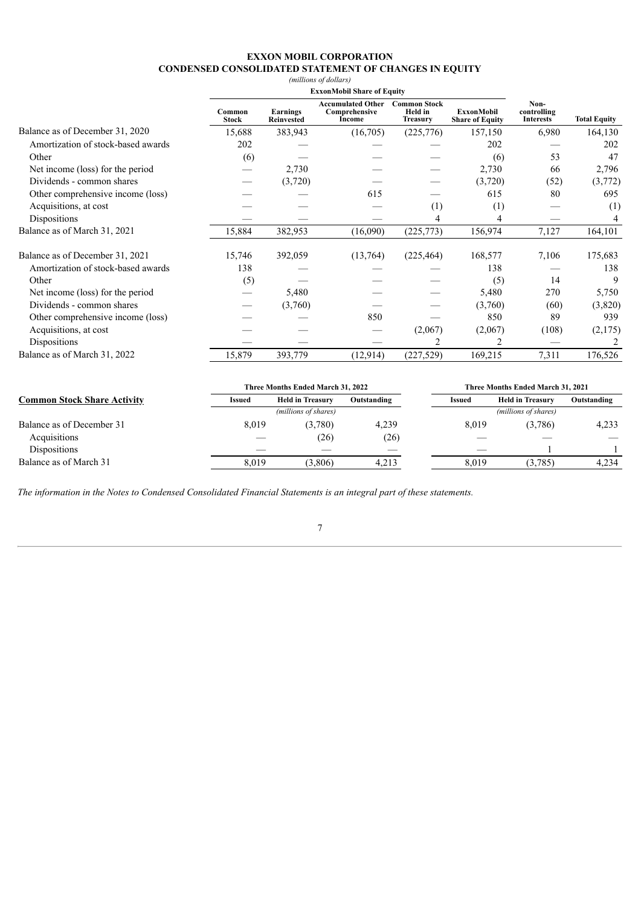## **EXXON MOBIL CORPORATION CONDENSED CONSOLIDATED STATEMENT OF CHANGES IN EQUITY**

*(millions of dollars)*

|                                    | <b>ExxonMobil Share of Equity</b> |                               |                                                     |                                                   |                                             |                                         |                     |
|------------------------------------|-----------------------------------|-------------------------------|-----------------------------------------------------|---------------------------------------------------|---------------------------------------------|-----------------------------------------|---------------------|
|                                    | Common<br><b>Stock</b>            | Earnings<br><b>Reinvested</b> | <b>Accumulated Other</b><br>Comprehensive<br>Income | <b>Common Stock</b><br>Held in<br><b>Treasury</b> | <b>ExxonMobil</b><br><b>Share of Equity</b> | Non-<br>controlling<br><b>Interests</b> | <b>Total Equity</b> |
| Balance as of December 31, 2020    | 15,688                            | 383,943                       | (16,705)                                            | (225,776)                                         | 157,150                                     | 6,980                                   | 164,130             |
| Amortization of stock-based awards | 202                               |                               |                                                     |                                                   | 202                                         |                                         | 202                 |
| Other                              | (6)                               |                               |                                                     |                                                   | (6)                                         | 53                                      | 47                  |
| Net income (loss) for the period   |                                   | 2,730                         |                                                     |                                                   | 2,730                                       | 66                                      | 2,796               |
| Dividends - common shares          |                                   | (3,720)                       |                                                     |                                                   | (3,720)                                     | (52)                                    | (3,772)             |
| Other comprehensive income (loss)  |                                   |                               | 615                                                 |                                                   | 615                                         | 80                                      | 695                 |
| Acquisitions, at cost              |                                   |                               |                                                     | (1)                                               | (1)                                         |                                         | (1)                 |
| Dispositions                       |                                   |                               |                                                     | 4                                                 | 4                                           |                                         |                     |
| Balance as of March 31, 2021       | 15,884                            | 382,953                       | (16,090)                                            | (225, 773)                                        | 156,974                                     | 7,127                                   | 164,101             |
| Balance as of December 31, 2021    | 15,746                            | 392,059                       | (13,764)                                            | (225, 464)                                        | 168,577                                     | 7,106                                   | 175,683             |
| Amortization of stock-based awards | 138                               |                               |                                                     |                                                   | 138                                         |                                         | 138                 |
| Other                              | (5)                               |                               |                                                     |                                                   | (5)                                         | 14                                      | 9                   |
| Net income (loss) for the period   |                                   | 5,480                         |                                                     |                                                   | 5,480                                       | 270                                     | 5,750               |
| Dividends - common shares          |                                   | (3,760)                       |                                                     |                                                   | (3,760)                                     | (60)                                    | (3,820)             |
| Other comprehensive income (loss)  |                                   |                               | 850                                                 |                                                   | 850                                         | 89                                      | 939                 |
| Acquisitions, at cost              |                                   |                               |                                                     | (2,067)                                           | (2,067)                                     | (108)                                   | (2,175)             |
| Dispositions                       |                                   |                               |                                                     |                                                   |                                             |                                         |                     |
| Balance as of March 31, 2022       | 15,879                            | 393,779                       | (12,914)                                            | (227, 529)                                        | 169,215                                     | 7,311                                   | 176,526             |

|                                    | Three Months Ended March 31, 2022 |                         |             |               | Three Months Ended March 31, 2021 |             |
|------------------------------------|-----------------------------------|-------------------------|-------------|---------------|-----------------------------------|-------------|
| <b>Common Stock Share Activity</b> | Issued                            | <b>Held in Treasury</b> | Outstanding | <b>Issued</b> | <b>Held in Treasury</b>           | Outstanding |
|                                    |                                   | (millions of shares)    |             |               | (millions of shares)              |             |
| Balance as of December 31          | 8,019                             | (3,780)                 | 4,239       | 8.019         | (3,786)                           | 4,233       |
| Acquisitions                       |                                   | (26)                    | (26)        |               |                                   |             |
| Dispositions                       |                                   |                         |             |               |                                   |             |
| Balance as of March 31             | 8.019                             | (3.806)                 | 4.213       | 8.019         | (3,785)                           | 4.234       |

The information in the Notes to Condensed Consolidated Financial Statements is an integral part of these statements.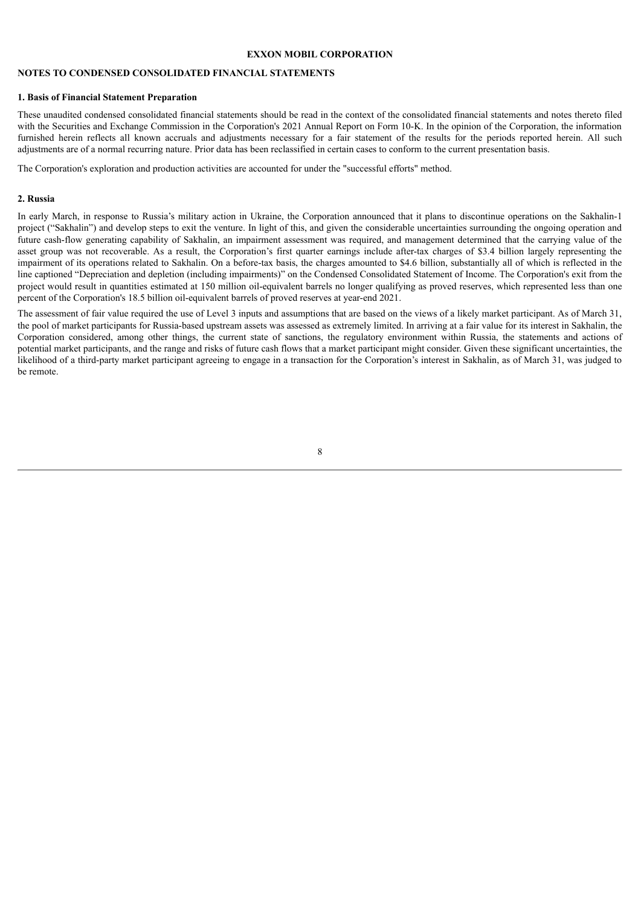#### **EXXON MOBIL CORPORATION**

## **NOTES TO CONDENSED CONSOLIDATED FINANCIAL STATEMENTS**

#### **1. Basis of Financial Statement Preparation**

These unaudited condensed consolidated financial statements should be read in the context of the consolidated financial statements and notes thereto filed with the Securities and Exchange Commission in the Corporation's 2021 Annual Report on Form 10-K. In the opinion of the Corporation, the information furnished herein reflects all known accruals and adjustments necessary for a fair statement of the results for the periods reported herein. All such adjustments are of a normal recurring nature. Prior data has been reclassified in certain cases to conform to the current presentation basis.

The Corporation's exploration and production activities are accounted for under the "successful efforts" method.

#### **2. Russia**

In early March, in response to Russia's military action in Ukraine, the Corporation announced that it plans to discontinue operations on the Sakhalin-1 project ("Sakhalin") and develop steps to exit the venture. In light of this, and given the considerable uncertainties surrounding the ongoing operation and future cash-flow generating capability of Sakhalin, an impairment assessment was required, and management determined that the carrying value of the asset group was not recoverable. As a result, the Corporation's first quarter earnings include after-tax charges of \$3.4 billion largely representing the impairment of its operations related to Sakhalin. On a before-tax basis, the charges amounted to \$4.6 billion, substantially all of which is reflected in the line captioned "Depreciation and depletion (including impairments)" on the Condensed Consolidated Statement of Income. The Corporation's exit from the project would result in quantities estimated at 150 million oil-equivalent barrels no longer qualifying as proved reserves, which represented less than one percent of the Corporation's 18.5 billion oil-equivalent barrels of proved reserves at year-end 2021.

The assessment of fair value required the use of Level 3 inputs and assumptions that are based on the views of a likely market participant. As of March 31, the pool of market participants for Russia-based upstream assets was assessed as extremely limited. In arriving at a fair value for its interest in Sakhalin, the Corporation considered, among other things, the current state of sanctions, the regulatory environment within Russia, the statements and actions of potential market participants, and the range and risks of future cash flows that a market participant might consider. Given these significant uncertainties, the likelihood of a third-party market participant agreeing to engage in a transaction for the Corporation's interest in Sakhalin, as of March 31, was judged to be remote.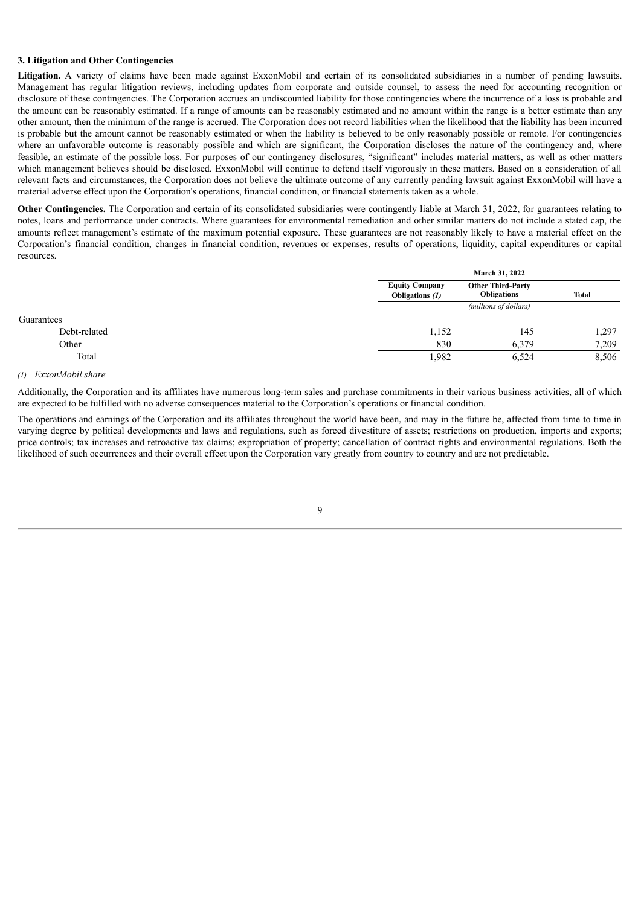#### **3. Litigation and Other Contingencies**

Litigation. A variety of claims have been made against ExxonMobil and certain of its consolidated subsidiaries in a number of pending lawsuits. Management has regular litigation reviews, including updates from corporate and outside counsel, to assess the need for accounting recognition or disclosure of these contingencies. The Corporation accrues an undiscounted liability for those contingencies where the incurrence of a loss is probable and the amount can be reasonably estimated. If a range of amounts can be reasonably estimated and no amount within the range is a better estimate than any other amount, then the minimum of the range is accrued. The Corporation does not record liabilities when the likelihood that the liability has been incurred is probable but the amount cannot be reasonably estimated or when the liability is believed to be only reasonably possible or remote. For contingencies where an unfavorable outcome is reasonably possible and which are significant, the Corporation discloses the nature of the contingency and, where feasible, an estimate of the possible loss. For purposes of our contingency disclosures, "significant" includes material matters, as well as other matters which management believes should be disclosed. ExxonMobil will continue to defend itself vigorously in these matters. Based on a consideration of all relevant facts and circumstances, the Corporation does not believe the ultimate outcome of any currently pending lawsuit against ExxonMobil will have a material adverse effect upon the Corporation's operations, financial condition, or financial statements taken as a whole.

**Other Contingencies.** The Corporation and certain of its consolidated subsidiaries were contingently liable at March 31, 2022, for guarantees relating to notes, loans and performance under contracts. Where guarantees for environmental remediation and other similar matters do not include a stated cap, the amounts reflect management's estimate of the maximum potential exposure. These guarantees are not reasonably likely to have a material effect on the Corporation's financial condition, changes in financial condition, revenues or expenses, results of operations, liquidity, capital expenditures or capital resources.

|              |                                                 | <b>March 31, 2022</b>                          |              |  |
|--------------|-------------------------------------------------|------------------------------------------------|--------------|--|
|              | <b>Equity Company</b><br><b>Obligations</b> (1) | <b>Other Third-Party</b><br><b>Obligations</b> | <b>Total</b> |  |
|              |                                                 | (millions of dollars)                          |              |  |
| Guarantees   |                                                 |                                                |              |  |
| Debt-related | 1,152                                           | 145                                            | 1,297        |  |
| Other        | 830                                             | 6,379                                          | 7,209        |  |
| Total        | 1,982                                           | 6,524                                          | 8,506        |  |
|              |                                                 |                                                |              |  |

### *(1) ExxonMobil share*

Additionally, the Corporation and its affiliates have numerous long-term sales and purchase commitments in their various business activities, all of which are expected to be fulfilled with no adverse consequences material to the Corporation's operations or financial condition.

The operations and earnings of the Corporation and its affiliates throughout the world have been, and may in the future be, affected from time to time in varying degree by political developments and laws and regulations, such as forced divestiture of assets; restrictions on production, imports and exports; price controls; tax increases and retroactive tax claims; expropriation of property; cancellation of contract rights and environmental regulations. Both the likelihood of such occurrences and their overall effect upon the Corporation vary greatly from country to country and are not predictable.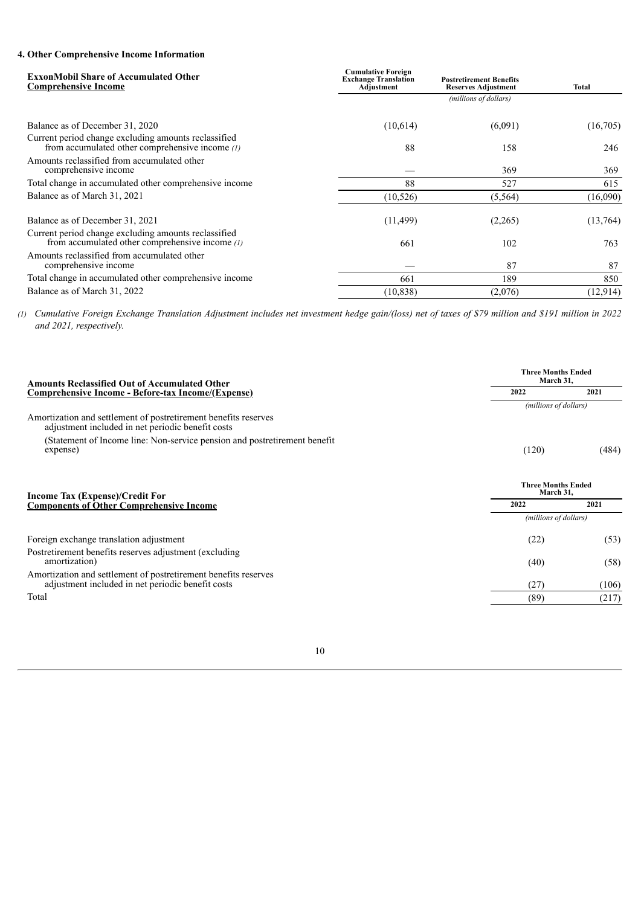## **4. Other Comprehensive Income Information**

| <b>ExxonMobil Share of Accumulated Other</b><br><b>Comprehensive Income</b>                               | <b>Cumulative Foreign</b><br><b>Exchange Translation</b><br>Adjustment | <b>Postretirement Benefits</b><br><b>Reserves Adjustment</b> | Total    |
|-----------------------------------------------------------------------------------------------------------|------------------------------------------------------------------------|--------------------------------------------------------------|----------|
|                                                                                                           |                                                                        | (millions of dollars)                                        |          |
| Balance as of December 31, 2020                                                                           | (10,614)                                                               | (6,091)                                                      | (16,705) |
| Current period change excluding amounts reclassified<br>from accumulated other comprehensive income $(1)$ | 88                                                                     | 158                                                          | 246      |
| Amounts reclassified from accumulated other<br>comprehensive income                                       |                                                                        | 369                                                          | 369      |
| Total change in accumulated other comprehensive income                                                    | 88                                                                     | 527                                                          | 615      |
| Balance as of March 31, 2021                                                                              | (10, 526)                                                              | (5,564)                                                      | (16,090) |
| Balance as of December 31, 2021                                                                           | (11, 499)                                                              | (2,265)                                                      | (13,764) |
| Current period change excluding amounts reclassified<br>from accumulated other comprehensive income (1)   | 661                                                                    | 102                                                          | 763      |
| Amounts reclassified from accumulated other<br>comprehensive income                                       |                                                                        | 87                                                           | 87       |
| Total change in accumulated other comprehensive income                                                    | 661                                                                    | 189                                                          | 850      |
| Balance as of March 31, 2022                                                                              | (10, 838)                                                              | (2,076)                                                      | (12,914) |

(1) Cumulative Foreign Exchange Translation Adjustment includes net investment hedge gain/(loss) net of taxes of \$79 million and \$191 million in 2022 *and 2021, respectively.*

| <b>Amounts Reclassified Out of Accumulated Other</b>                                                                 | <b>Three Months Ended</b><br>March 31,         |       |
|----------------------------------------------------------------------------------------------------------------------|------------------------------------------------|-------|
| Comprehensive Income - Before-tax Income/(Expense)                                                                   | 2022                                           | 2021  |
|                                                                                                                      | (millions of dollars)                          |       |
| Amortization and settlement of postretirement benefits reserves<br>adjustment included in net periodic benefit costs |                                                |       |
| (Statement of Income line: Non-service pension and postretirement benefit)<br>expense)                               | (120)                                          | (484) |
| Income Tax (Expense)/Credit For<br><b>Components of Other Comprehensive Income</b>                                   | <b>Three Months Ended</b><br>March 31,<br>2022 | 2021  |
|                                                                                                                      | (millions of dollars)                          |       |
| Foreign exchange translation adjustment                                                                              | (22)                                           | (53)  |
| Postretirement benefits reserves adjustment (excluding<br>amortization)                                              | (40)                                           | (58)  |
| Amortization and settlement of postretirement benefits reserves<br>adjustment included in net periodic benefit costs | (27)                                           | (106) |
| Total                                                                                                                | (89)                                           | (217) |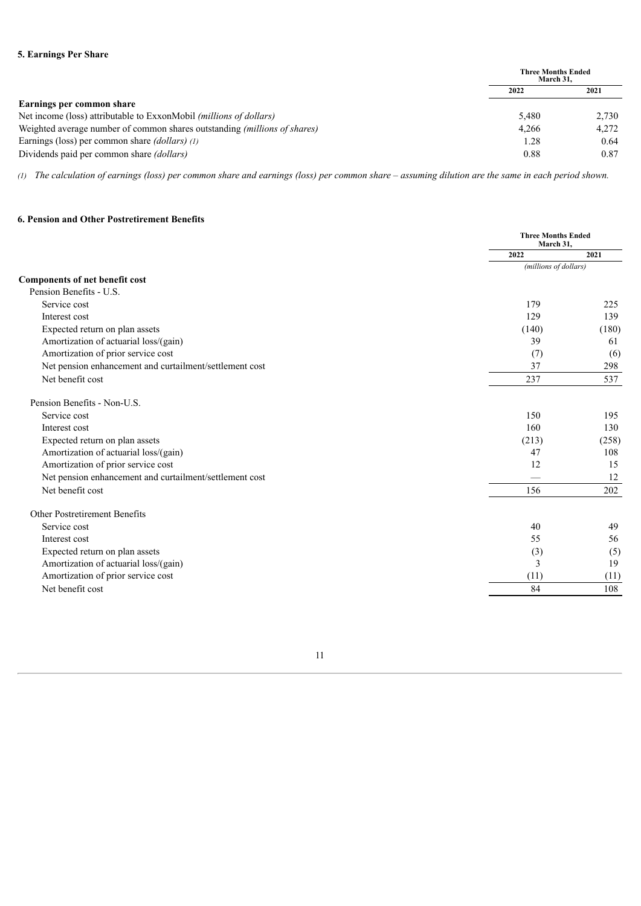## **5. Earnings Per Share**

|                                                                                  | <b>Three Months Ended</b><br>March 31. |       |
|----------------------------------------------------------------------------------|----------------------------------------|-------|
|                                                                                  | 2022                                   | 2021  |
| Earnings per common share                                                        |                                        |       |
| Net income (loss) attributable to ExxonMobil (millions of dollars)               | 5.480                                  | 2.730 |
| Weighted average number of common shares outstanding <i>(millions of shares)</i> | 4.266                                  | 4.272 |
| Earnings (loss) per common share <i>(dollars)</i> (1)                            | 1.28                                   | 0.64  |
| Dividends paid per common share <i>(dollars)</i>                                 | 0.88                                   | 0.87  |

(1) The calculation of earnings (loss) per common share and earnings (loss) per common share - assuming dilution are the same in each period shown.

## **6. Pension and Other Postretirement Benefits**

|                                                         | <b>Three Months Ended</b><br>March 31, |       |
|---------------------------------------------------------|----------------------------------------|-------|
|                                                         | 2022                                   | 2021  |
|                                                         | (millions of dollars)                  |       |
| <b>Components of net benefit cost</b>                   |                                        |       |
| Pension Benefits - U.S.                                 |                                        |       |
| Service cost                                            | 179                                    | 225   |
| Interest cost                                           | 129                                    | 139   |
| Expected return on plan assets                          | (140)                                  | (180) |
| Amortization of actuarial loss/(gain)                   | 39                                     | 61    |
| Amortization of prior service cost                      | (7)                                    | (6)   |
| Net pension enhancement and curtailment/settlement cost | 37                                     | 298   |
| Net benefit cost                                        | 237                                    | 537   |
| Pension Benefits - Non-U.S.                             |                                        |       |
| Service cost                                            | 150                                    | 195   |
| Interest cost                                           | 160                                    | 130   |
| Expected return on plan assets                          | (213)                                  | (258) |
| Amortization of actuarial loss/(gain)                   | 47                                     | 108   |
| Amortization of prior service cost                      | 12                                     | 15    |
| Net pension enhancement and curtailment/settlement cost |                                        | 12    |
| Net benefit cost                                        | 156                                    | 202   |
| Other Postretirement Benefits                           |                                        |       |
| Service cost                                            | 40                                     | 49    |
| Interest cost                                           | 55                                     | 56    |
| Expected return on plan assets                          | (3)                                    | (5)   |
| Amortization of actuarial loss/(gain)                   | 3                                      | 19    |
| Amortization of prior service cost                      | (11)                                   | (11)  |
| Net benefit cost                                        | 84                                     | 108   |
|                                                         |                                        |       |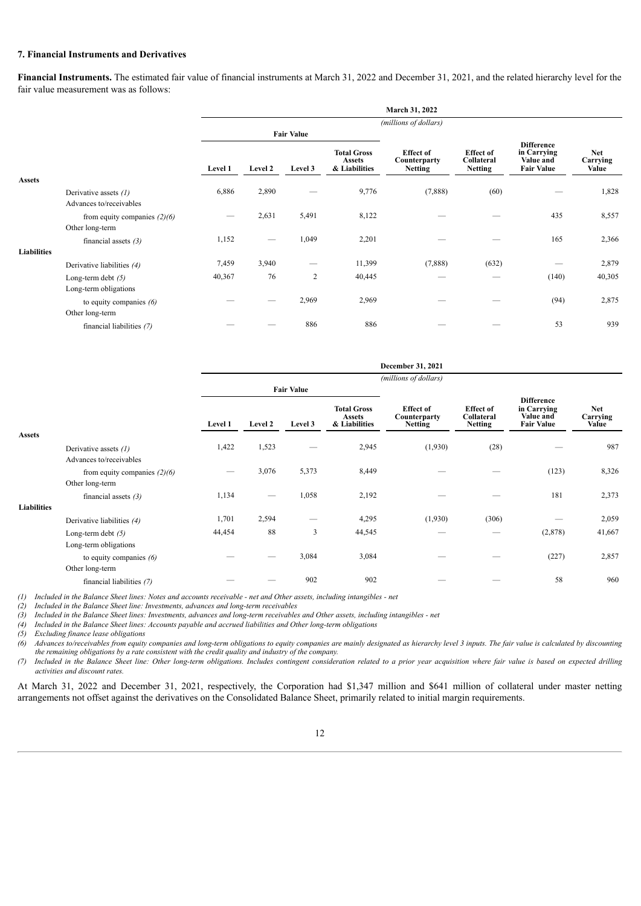#### **7. Financial Instruments and Derivatives**

**Financial Instruments.** The estimated fair value of financial instruments at March 31, 2022 and December 31, 2021, and the related hierarchy level for the fair value measurement was as follows:

|                    |                                                   |                                 | March 31, 2022        |                   |                                                      |                                                    |                                                  |                                                                    |                                 |  |
|--------------------|---------------------------------------------------|---------------------------------|-----------------------|-------------------|------------------------------------------------------|----------------------------------------------------|--------------------------------------------------|--------------------------------------------------------------------|---------------------------------|--|
|                    |                                                   |                                 | (millions of dollars) |                   |                                                      |                                                    |                                                  |                                                                    |                                 |  |
|                    |                                                   |                                 |                       | <b>Fair Value</b> |                                                      |                                                    |                                                  |                                                                    |                                 |  |
|                    |                                                   | Level 1                         | Level 2               | Level 3           | <b>Total Gross</b><br><b>Assets</b><br>& Liabilities | <b>Effect of</b><br>Counterparty<br><b>Netting</b> | <b>Effect of</b><br>Collateral<br><b>Netting</b> | <b>Difference</b><br>in Carrying<br>Value and<br><b>Fair Value</b> | <b>Net</b><br>Carrying<br>Value |  |
| <b>Assets</b>      |                                                   |                                 |                       |                   |                                                      |                                                    |                                                  |                                                                    |                                 |  |
|                    | Derivative assets (1)<br>Advances to/receivables  | 6,886                           | 2,890                 |                   | 9,776                                                | (7,888)                                            | (60)                                             |                                                                    | 1,828                           |  |
|                    | from equity companies $(2)(6)$<br>Other long-term | $\hspace{0.1mm}-\hspace{0.1mm}$ | 2,631                 | 5,491             | 8,122                                                |                                                    |                                                  | 435                                                                | 8,557                           |  |
|                    | financial assets $(3)$                            | 1,152                           |                       | 1,049             | 2,201                                                |                                                    |                                                  | 165                                                                | 2,366                           |  |
| <b>Liabilities</b> |                                                   |                                 |                       |                   |                                                      |                                                    |                                                  |                                                                    |                                 |  |
|                    | Derivative liabilities (4)                        | 7,459                           | 3,940                 |                   | 11,399                                               | (7,888)                                            | (632)                                            |                                                                    | 2,879                           |  |
|                    | Long-term debt $(5)$<br>Long-term obligations     | 40,367                          | 76                    | 2                 | 40,445                                               |                                                    |                                                  | (140)                                                              | 40,305                          |  |
|                    | to equity companies $(6)$<br>Other long-term      |                                 |                       | 2,969             | 2,969                                                |                                                    |                                                  | (94)                                                               | 2,875                           |  |
|                    | financial liabilities (7)                         |                                 |                       | 886               | 886                                                  |                                                    |                                                  | 53                                                                 | 939                             |  |

|                    |                                                   |         | December 31, 2021               |                   |                                                      |                                                    |                                                  |                                                                    |                                 |  |  |
|--------------------|---------------------------------------------------|---------|---------------------------------|-------------------|------------------------------------------------------|----------------------------------------------------|--------------------------------------------------|--------------------------------------------------------------------|---------------------------------|--|--|
|                    |                                                   |         | (millions of dollars)           |                   |                                                      |                                                    |                                                  |                                                                    |                                 |  |  |
|                    |                                                   |         |                                 | <b>Fair Value</b> |                                                      |                                                    |                                                  |                                                                    |                                 |  |  |
|                    |                                                   | Level 1 | Level 2                         | Level 3           | <b>Total Gross</b><br><b>Assets</b><br>& Liabilities | <b>Effect</b> of<br>Counterparty<br><b>Netting</b> | <b>Effect</b> of<br>Collateral<br><b>Netting</b> | <b>Difference</b><br>in Carrying<br>Value and<br><b>Fair Value</b> | <b>Net</b><br>Carrying<br>Value |  |  |
| <b>Assets</b>      |                                                   |         |                                 |                   |                                                      |                                                    |                                                  |                                                                    |                                 |  |  |
|                    | Derivative assets (1)<br>Advances to/receivables  | 1,422   | 1,523                           |                   | 2,945                                                | (1,930)                                            | (28)                                             |                                                                    | 987                             |  |  |
|                    | from equity companies $(2)(6)$<br>Other long-term |         | 3,076                           | 5,373             | 8,449                                                |                                                    |                                                  | (123)                                                              | 8,326                           |  |  |
|                    | financial assets $(3)$                            | 1,134   | $\hspace{0.1mm}-\hspace{0.1mm}$ | 1,058             | 2,192                                                |                                                    |                                                  | 181                                                                | 2,373                           |  |  |
| <b>Liabilities</b> |                                                   |         |                                 |                   |                                                      |                                                    |                                                  |                                                                    |                                 |  |  |
|                    | Derivative liabilities (4)                        | 1,701   | 2,594                           |                   | 4,295                                                | (1,930)                                            | (306)                                            |                                                                    | 2,059                           |  |  |
|                    | Long-term debt $(5)$<br>Long-term obligations     | 44,454  | 88                              | 3                 | 44,545                                               |                                                    | $\overbrace{\phantom{12332}}$                    | (2,878)                                                            | 41,667                          |  |  |
|                    | to equity companies $(6)$<br>Other long-term      |         |                                 | 3,084             | 3,084                                                |                                                    |                                                  | (227)                                                              | 2,857                           |  |  |
|                    | financial liabilities (7)                         |         |                                 | 902               | 902                                                  |                                                    |                                                  | 58                                                                 | 960                             |  |  |

(1) Included in the Balance Sheet lines: Notes and accounts receivable - net and Other assets, including intangibles - net

*(2) Included in the Balance Sheet line: Investments, advances and long-term receivables*

(3) Included in the Balance Sheet lines: Investments, advances and long-term receivables and Other assets, including intangibles - net

(4) Included in the Balance Sheet lines: Accounts payable and accrued liabilities and Other long-term obligations

*(5) Excluding finance lease obligations*

(6) Advances to/receivables from equity companies and long-term obligations to equity companies are mainly designated as hierarchy level 3 inputs. The fair value is calculated by discounting *the remaining obligations by a rate consistent with the credit quality and industry of the company.*

(7) Included in the Balance Sheet line: Other long-term obligations. Includes contingent consideration related to a prior year acquisition where fair value is based on expected drilling *activities and discount rates.*

At March 31, 2022 and December 31, 2021, respectively, the Corporation had \$1,347 million and \$641 million of collateral under master netting arrangements not offset against the derivatives on the Consolidated Balance Sheet, primarily related to initial margin requirements.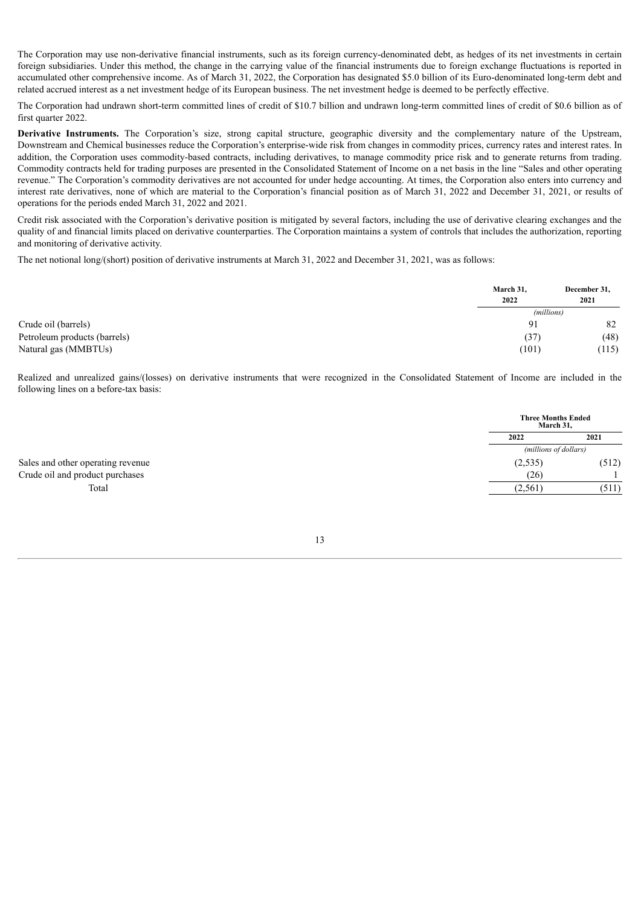The Corporation may use non-derivative financial instruments, such as its foreign currency-denominated debt, as hedges of its net investments in certain foreign subsidiaries. Under this method, the change in the carrying value of the financial instruments due to foreign exchange fluctuations is reported in accumulated other comprehensive income. As of March 31, 2022, the Corporation has designated \$5.0 billion of its Euro-denominated long-term debt and related accrued interest as a net investment hedge of its European business. The net investment hedge is deemed to be perfectly effective.

The Corporation had undrawn short-term committed lines of credit of \$10.7 billion and undrawn long-term committed lines of credit of \$0.6 billion as of first quarter 2022.

**Derivative Instruments.** The Corporation's size, strong capital structure, geographic diversity and the complementary nature of the Upstream, Downstream and Chemical businesses reduce the Corporation's enterprise-wide risk from changes in commodity prices, currency rates and interest rates. In addition, the Corporation uses commodity-based contracts, including derivatives, to manage commodity price risk and to generate returns from trading. Commodity contracts held for trading purposes are presented in the Consolidated Statement of Income on a net basis in the line "Sales and other operating revenue." The Corporation's commodity derivatives are not accounted for under hedge accounting. At times, the Corporation also enters into currency and interest rate derivatives, none of which are material to the Corporation's financial position as of March 31, 2022 and December 31, 2021, or results of operations for the periods ended March 31, 2022 and 2021.

Credit risk associated with the Corporation's derivative position is mitigated by several factors, including the use of derivative clearing exchanges and the quality of and financial limits placed on derivative counterparties. The Corporation maintains a system of controls that includes the authorization, reporting and monitoring of derivative activity.

The net notional long/(short) position of derivative instruments at March 31, 2022 and December 31, 2021, was as follows:

|                              | March 31,<br>2022 | December 31,<br>2021 |
|------------------------------|-------------------|----------------------|
|                              | (millions)        |                      |
| Crude oil (barrels)          | 91                | 82                   |
| Petroleum products (barrels) | (37)              | (48)                 |
| Natural gas (MMBTUs)         | (101)             | (115)                |

Realized and unrealized gains/(losses) on derivative instruments that were recognized in the Consolidated Statement of Income are included in the following lines on a before-tax basis:

|                                   | <b>Three Months Ended</b><br>March 31, |       |
|-----------------------------------|----------------------------------------|-------|
|                                   | 2022                                   | 2021  |
|                                   | (millions of dollars)                  |       |
| Sales and other operating revenue | (2, 535)                               | (512) |
| Crude oil and product purchases   | (26)                                   |       |
| Total                             | (2,561)                                | (511) |
|                                   |                                        |       |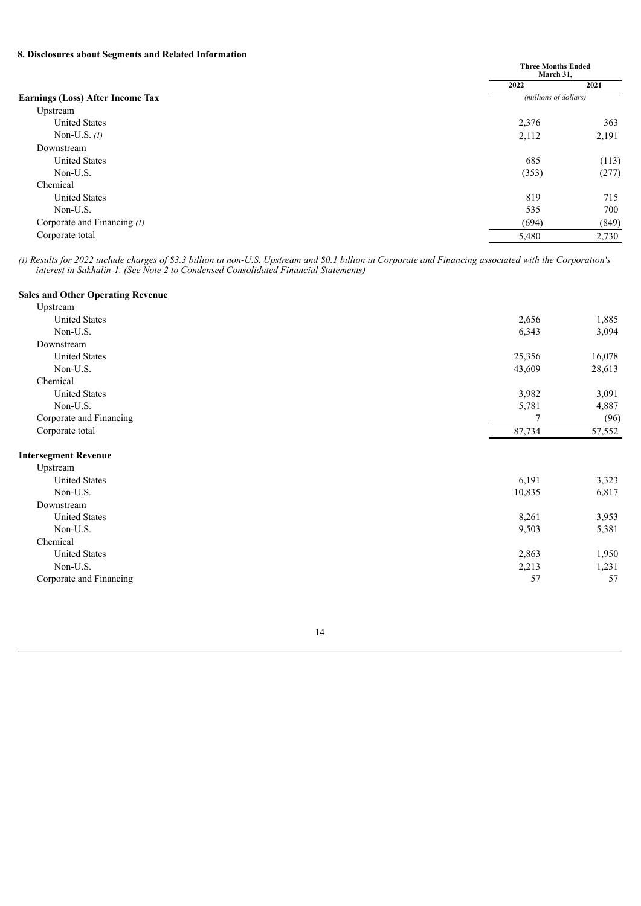### **8. Disclosures about Segments and Related Information**

|                                         | <b>Three Months Ended</b><br>March 31, |       |
|-----------------------------------------|----------------------------------------|-------|
|                                         | 2022                                   | 2021  |
| <b>Earnings (Loss) After Income Tax</b> | (millions of dollars)                  |       |
| Upstream                                |                                        |       |
| <b>United States</b>                    | 2,376                                  | 363   |
| Non-U.S. $(l)$                          | 2,112                                  | 2,191 |
| Downstream                              |                                        |       |
| <b>United States</b>                    | 685                                    | (113) |
| Non-U.S.                                | (353)                                  | (277) |
| Chemical                                |                                        |       |
| <b>United States</b>                    | 819                                    | 715   |
| Non-U.S.                                | 535                                    | 700   |
| Corporate and Financing (1)             | (694)                                  | (849) |
| Corporate total                         | 5,480                                  | 2,730 |
|                                         |                                        |       |

(1) Results for 2022 include charges of \$3.3 billion in non-U.S. Upstream and \$0.1 billion in Corporate and Financing associated with the Corporation's *interest in Sakhalin-1. (See Note 2 to Condensed Consolidated Financial Statements)*

### **Sales and Other Operating Revenue**

| Upstream                    |        |        |
|-----------------------------|--------|--------|
| <b>United States</b>        | 2,656  | 1,885  |
| Non-U.S.                    | 6,343  | 3,094  |
| Downstream                  |        |        |
| <b>United States</b>        | 25,356 | 16,078 |
| Non-U.S.                    | 43,609 | 28,613 |
| Chemical                    |        |        |
| <b>United States</b>        | 3,982  | 3,091  |
| Non-U.S.                    | 5,781  | 4,887  |
| Corporate and Financing     | 7      | (96)   |
| Corporate total             | 87,734 | 57,552 |
| <b>Intersegment Revenue</b> |        |        |
| Upstream                    |        |        |
| <b>United States</b>        | 6,191  | 3,323  |
| Non-U.S.                    | 10,835 | 6,817  |
| Downstream                  |        |        |
| <b>United States</b>        | 8,261  | 3,953  |
| Non-U.S.                    | 9,503  | 5,381  |
| Chemical                    |        |        |
| <b>United States</b>        | 2,863  | 1,950  |
| Non-U.S.                    | 2,213  | 1,231  |
| Corporate and Financing     | 57     | 57     |
|                             |        |        |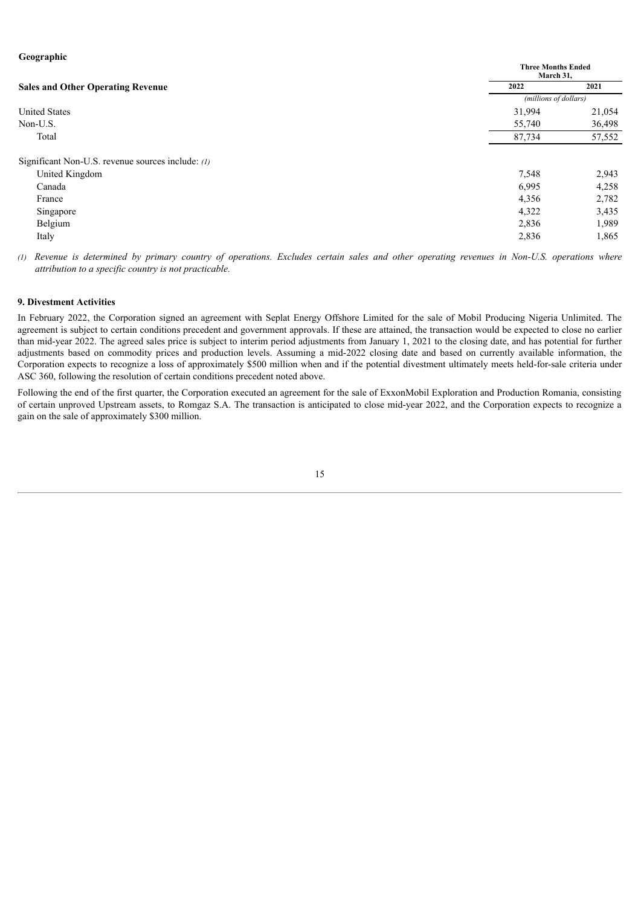### **Geographic**

|                                                   | <b>Three Months Ended</b><br>March 31, |        |
|---------------------------------------------------|----------------------------------------|--------|
| <b>Sales and Other Operating Revenue</b>          | 2022                                   | 2021   |
|                                                   | (millions of dollars)                  |        |
| <b>United States</b>                              | 31,994                                 | 21,054 |
| Non-U.S.                                          | 55,740                                 | 36,498 |
| Total                                             | 87,734                                 | 57,552 |
| Significant Non-U.S. revenue sources include: (1) |                                        |        |
| United Kingdom                                    | 7,548                                  | 2,943  |
| Canada                                            | 6,995                                  | 4,258  |
| France                                            | 4,356                                  | 2,782  |
| Singapore                                         | 4,322                                  | 3,435  |
| Belgium                                           | 2,836                                  | 1,989  |
| Italy                                             | 2,836                                  | 1,865  |

(1) Revenue is determined by primary country of operations. Excludes certain sales and other operating revenues in Non-U.S. operations where *attribution to a specific country is not practicable.*

#### **9. Divestment Activities**

In February 2022, the Corporation signed an agreement with Seplat Energy Offshore Limited for the sale of Mobil Producing Nigeria Unlimited. The agreement is subject to certain conditions precedent and government approvals. If these are attained, the transaction would be expected to close no earlier than mid-year 2022. The agreed sales price is subject to interim period adjustments from January 1, 2021 to the closing date, and has potential for further adjustments based on commodity prices and production levels. Assuming a mid-2022 closing date and based on currently available information, the Corporation expects to recognize a loss of approximately \$500 million when and if the potential divestment ultimately meets held-for-sale criteria under ASC 360, following the resolution of certain conditions precedent noted above.

Following the end of the first quarter, the Corporation executed an agreement for the sale of ExxonMobil Exploration and Production Romania, consisting of certain unproved Upstream assets, to Romgaz S.A. The transaction is anticipated to close mid-year 2022, and the Corporation expects to recognize a gain on the sale of approximately \$300 million.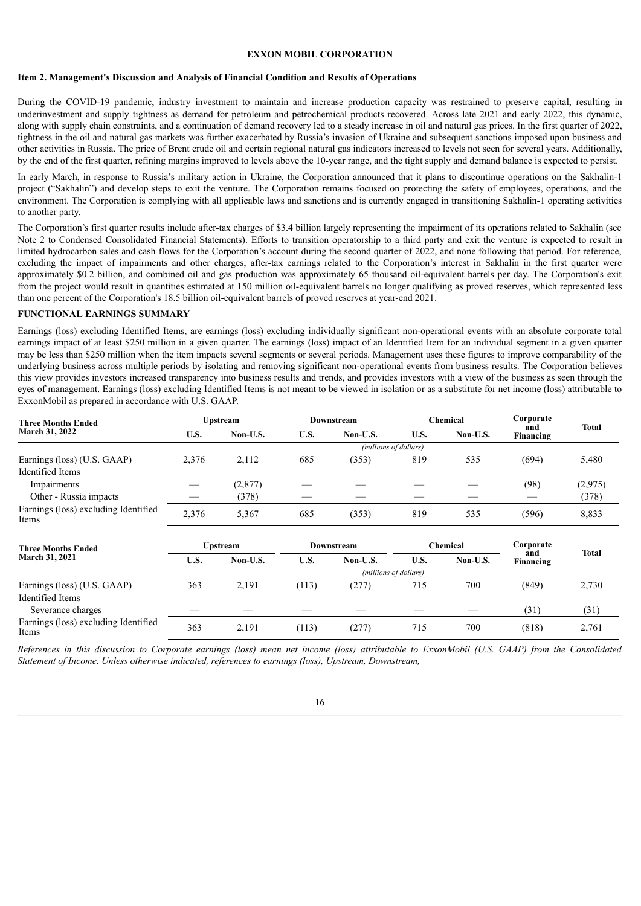#### **EXXON MOBIL CORPORATION**

#### **Item 2. Management's Discussion and Analysis of Financial Condition and Results of Operations**

During the COVID-19 pandemic, industry investment to maintain and increase production capacity was restrained to preserve capital, resulting in underinvestment and supply tightness as demand for petroleum and petrochemical products recovered. Across late 2021 and early 2022, this dynamic, along with supply chain constraints, and a continuation of demand recovery led to a steady increase in oil and natural gas prices. In the first quarter of 2022, tightness in the oil and natural gas markets was further exacerbated by Russia's invasion of Ukraine and subsequent sanctions imposed upon business and other activities in Russia. The price of Brent crude oil and certain regional natural gas indicators increased to levels not seen for several years. Additionally, by the end of the first quarter, refining margins improved to levels above the 10-year range, and the tight supply and demand balance is expected to persist.

In early March, in response to Russia's military action in Ukraine, the Corporation announced that it plans to discontinue operations on the Sakhalin-1 project ("Sakhalin") and develop steps to exit the venture. The Corporation remains focused on protecting the safety of employees, operations, and the environment. The Corporation is complying with all applicable laws and sanctions and is currently engaged in transitioning Sakhalin-1 operating activities to another party.

The Corporation's first quarter results include after-tax charges of \$3.4 billion largely representing the impairment of its operations related to Sakhalin (see Note 2 to Condensed Consolidated Financial Statements). Efforts to transition operatorship to a third party and exit the venture is expected to result in limited hydrocarbon sales and cash flows for the Corporation's account during the second quarter of 2022, and none following that period. For reference, excluding the impact of impairments and other charges, after-tax earnings related to the Corporation's interest in Sakhalin in the first quarter were approximately \$0.2 billion, and combined oil and gas production was approximately 65 thousand oil-equivalent barrels per day. The Corporation's exit from the project would result in quantities estimated at 150 million oil-equivalent barrels no longer qualifying as proved reserves, which represented less than one percent of the Corporation's 18.5 billion oil-equivalent barrels of proved reserves at year-end 2021.

#### **FUNCTIONAL EARNINGS SUMMARY**

Earnings (loss) excluding Identified Items, are earnings (loss) excluding individually significant non-operational events with an absolute corporate total earnings impact of at least \$250 million in a given quarter. The earnings (loss) impact of an Identified Item for an individual segment in a given quarter may be less than \$250 million when the item impacts several segments or several periods. Management uses these figures to improve comparability of the underlying business across multiple periods by isolating and removing significant non-operational events from business results. The Corporation believes this view provides investors increased transparency into business results and trends, and provides investors with a view of the business as seen through the eyes of management. Earnings (loss) excluding Identified Items is not meant to be viewed in isolation or as a substitute for net income (loss) attributable to ExxonMobil as prepared in accordance with U.S. GAAP.

| <b>Three Months Ended</b>                     | <b>Upstream</b> |          | Downstream |                       | <b>Chemical</b>       |          | Corporate        | <b>Total</b> |
|-----------------------------------------------|-----------------|----------|------------|-----------------------|-----------------------|----------|------------------|--------------|
| March 31, 2022                                | U.S.            | Non-U.S. | U.S.       | Non-U.S.              | U.S.                  | Non-U.S. | and<br>Financing |              |
|                                               |                 |          |            | (millions of dollars) |                       |          |                  |              |
| Earnings (loss) (U.S. GAAP)                   | 2,376           | 2,112    | 685        | (353)                 | 819                   | 535      | (694)            | 5,480        |
| Identified Items                              |                 |          |            |                       |                       |          |                  |              |
| Impairments                                   |                 | (2,877)  |            |                       |                       |          | (98)             | (2,975)      |
| Other - Russia impacts                        |                 | (378)    |            |                       |                       |          |                  | (378)        |
| Earnings (loss) excluding Identified<br>Items | 2,376           | 5,367    | 685        | (353)                 | 819                   | 535      | (596)            | 8,833        |
| <b>Three Months Ended</b>                     | <b>Upstream</b> |          | Downstream |                       | <b>Chemical</b>       |          | Corporate        |              |
| March 31, 2021                                | U.S.            | Non-U.S. | U.S.       | Non-U.S.              | U.S.                  | Non-U.S. | and<br>Financing | <b>Total</b> |
|                                               |                 |          |            |                       | (millions of dollars) |          |                  |              |
| Earnings (loss) (U.S. GAAP)                   | 363             | 2,191    | (113)      | (277)                 | 715                   | 700      | (849)            | 2,730        |
| <b>Identified Items</b>                       |                 |          |            |                       |                       |          |                  |              |
| Severance charges                             |                 |          |            |                       |                       |          | (31)             | (31)         |
| Earnings (loss) excluding Identified<br>Items | 363             | 2,191    | (113)      | (277)                 | 715                   | 700      | (818)            | 2,761        |

References in this discussion to Corporate earnings (loss) mean net income (loss) attributable to ExxonMobil (U.S. GAAP) from the Consolidated *Statement of Income. Unless otherwise indicated, references to earnings (loss), Upstream, Downstream,*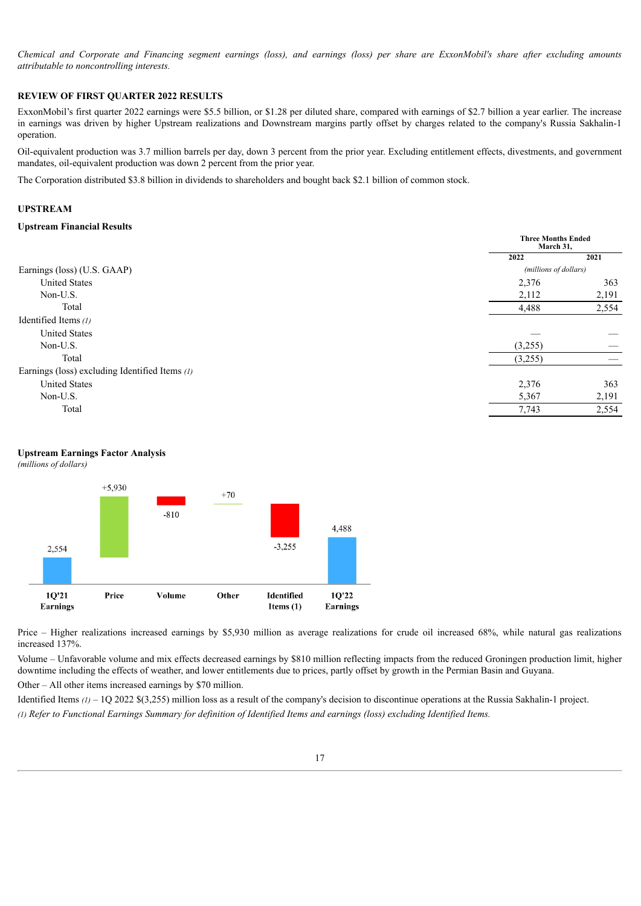Chemical and Corporate and Financing segment earnings (loss), and earnings (loss) per share are ExxonMobil's share after excluding amounts *attributable to noncontrolling interests.*

#### **REVIEW OF FIRST QUARTER 2022 RESULTS**

ExxonMobil's first quarter 2022 earnings were \$5.5 billion, or \$1.28 per diluted share, compared with earnings of \$2.7 billion a year earlier. The increase in earnings was driven by higher Upstream realizations and Downstream margins partly offset by charges related to the company's Russia Sakhalin-1 operation.

Oil-equivalent production was 3.7 million barrels per day, down 3 percent from the prior year. Excluding entitlement effects, divestments, and government mandates, oil-equivalent production was down 2 percent from the prior year.

The Corporation distributed \$3.8 billion in dividends to shareholders and bought back \$2.1 billion of common stock.

### **UPSTREAM**

#### **Upstream Financial Results**

|                                                | <b>Three Months Ended</b><br>March 31, |       |
|------------------------------------------------|----------------------------------------|-------|
|                                                | 2022                                   | 2021  |
| Earnings (loss) (U.S. GAAP)                    | (millions of dollars)                  |       |
| <b>United States</b>                           | 2,376                                  | 363   |
| Non-U.S.                                       | 2,112                                  | 2,191 |
| Total                                          | 4,488                                  | 2,554 |
| Identified Items $(1)$                         |                                        |       |
| <b>United States</b>                           |                                        |       |
| Non-U.S.                                       | (3,255)                                |       |
| Total                                          | (3,255)                                |       |
| Earnings (loss) excluding Identified Items (1) |                                        |       |
| <b>United States</b>                           | 2,376                                  | 363   |
| Non-U.S.                                       | 5,367                                  | 2,191 |
| Total                                          | 7,743                                  | 2,554 |
|                                                |                                        |       |

## **Upstream Earnings Factor Analysis**

*(millions of dollars)*



Price – Higher realizations increased earnings by \$5,930 million as average realizations for crude oil increased 68%, while natural gas realizations increased 137%.

Volume – Unfavorable volume and mix effects decreased earnings by \$810 million reflecting impacts from the reduced Groningen production limit, higher downtime including the effects of weather, and lower entitlements due to prices, partly offset by growth in the Permian Basin and Guyana.

Other – All other items increased earnings by \$70 million.

Identified Items *(1)* – 1Q 2022 \$(3,255) million loss as a result of the company's decision to discontinue operations at the Russia Sakhalin-1 project. (1) Refer to Functional Earnings Summary for definition of Identified Items and earnings (loss) excluding Identified Items.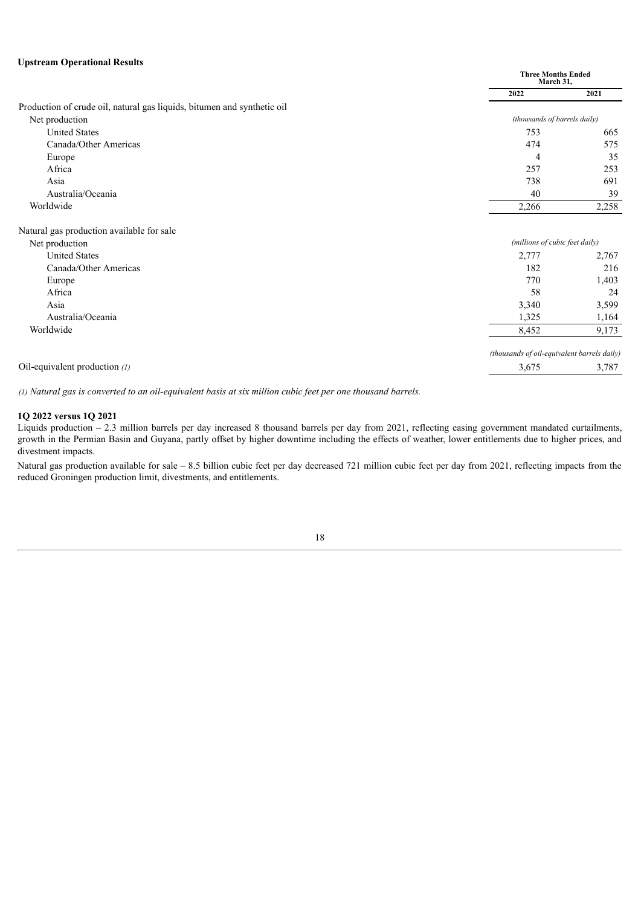#### **Upstream Operational Results**

|                                                                         | <b>Three Months Ended</b><br>March 31,      |       |
|-------------------------------------------------------------------------|---------------------------------------------|-------|
|                                                                         | 2022                                        | 2021  |
| Production of crude oil, natural gas liquids, bitumen and synthetic oil |                                             |       |
| Net production                                                          | (thousands of barrels daily)                |       |
| <b>United States</b>                                                    | 753                                         | 665   |
| Canada/Other Americas                                                   | 474                                         | 575   |
| Europe                                                                  | $\overline{4}$                              | 35    |
| Africa                                                                  | 257                                         | 253   |
| Asia                                                                    | 738                                         | 691   |
| Australia/Oceania                                                       | 40                                          | 39    |
| Worldwide                                                               | 2,266                                       | 2,258 |
| Natural gas production available for sale                               |                                             |       |
| Net production                                                          | (millions of cubic feet daily)              |       |
| <b>United States</b>                                                    | 2,777                                       | 2,767 |
| Canada/Other Americas                                                   | 182                                         | 216   |
| Europe                                                                  | 770                                         | 1,403 |
| Africa                                                                  | 58                                          | 24    |
| Asia                                                                    | 3,340                                       | 3,599 |
| Australia/Oceania                                                       | 1,325                                       | 1,164 |
| Worldwide                                                               | 8,452                                       | 9,173 |
|                                                                         | (thousands of oil-equivalent barrels daily) |       |
| Oil-equivalent production $(1)$                                         | 3,675                                       | 3,787 |

(1) Natural gas is converted to an oil-equivalent basis at six million cubic feet per one thousand barrels.

#### **1Q 2022 versus 1Q 2021**

Liquids production – 2.3 million barrels per day increased 8 thousand barrels per day from 2021, reflecting easing government mandated curtailments, growth in the Permian Basin and Guyana, partly offset by higher downtime including the effects of weather, lower entitlements due to higher prices, and divestment impacts.

Natural gas production available for sale – 8.5 billion cubic feet per day decreased 721 million cubic feet per day from 2021, reflecting impacts from the reduced Groningen production limit, divestments, and entitlements.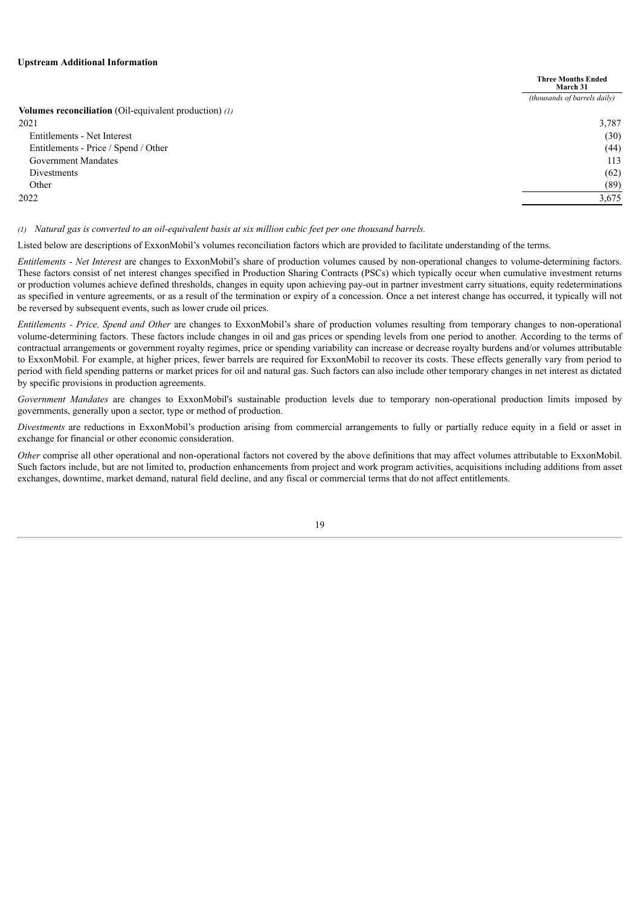#### **Upstream Additional Information**

|                                                          | <b>Three Months Ended</b><br>March 31 |
|----------------------------------------------------------|---------------------------------------|
|                                                          | (thousands of barrels daily)          |
| Volumes reconciliation (Oil-equivalent production) $(1)$ |                                       |
| 2021                                                     | 3,787                                 |
| Entitlements - Net Interest                              | (30)                                  |
| Entitlements - Price / Spend / Other                     | (44)                                  |
| Government Mandates                                      | 113                                   |
| Divestments                                              | (62)                                  |
| Other                                                    | (89)                                  |
| 2022                                                     | 3,675                                 |
|                                                          |                                       |

#### (1) Natural gas is converted to an oil-equivalent basis at six million cubic feet per one thousand barrels.

Listed below are descriptions of ExxonMobil's volumes reconciliation factors which are provided to facilitate understanding of the terms.

*Entitlements - Net Interest* are changes to ExxonMobil's share of production volumes caused by non-operational changes to volume-determining factors. These factors consist of net interest changes specified in Production Sharing Contracts (PSCs) which typically occur when cumulative investment returns or production volumes achieve defined thresholds, changes in equity upon achieving pay-out in partner investment carry situations, equity redeterminations as specified in venture agreements, or as a result of the termination or expiry of a concession. Once a net interest change has occurred, it typically will not be reversed by subsequent events, such as lower crude oil prices.

*Entitlements - Price, Spend and Other* are changes to ExxonMobil's share of production volumes resulting from temporary changes to non-operational volume-determining factors. These factors include changes in oil and gas prices or spending levels from one period to another. According to the terms of contractual arrangements or government royalty regimes, price or spending variability can increase or decrease royalty burdens and/or volumes attributable to ExxonMobil. For example, at higher prices, fewer barrels are required for ExxonMobil to recover its costs. These effects generally vary from period to period with field spending patterns or market prices for oil and natural gas. Such factors can also include other temporary changes in net interest as dictated by specific provisions in production agreements.

*Government Mandates* are changes to ExxonMobil's sustainable production levels due to temporary non-operational production limits imposed by governments, generally upon a sector, type or method of production.

*Divestments* are reductions in ExxonMobil's production arising from commercial arrangements to fully or partially reduce equity in a field or asset in exchange for financial or other economic consideration.

*Other* comprise all other operational and non-operational factors not covered by the above definitions that may affect volumes attributable to ExxonMobil. Such factors include, but are not limited to, production enhancements from project and work program activities, acquisitions including additions from asset exchanges, downtime, market demand, natural field decline, and any fiscal or commercial terms that do not affect entitlements.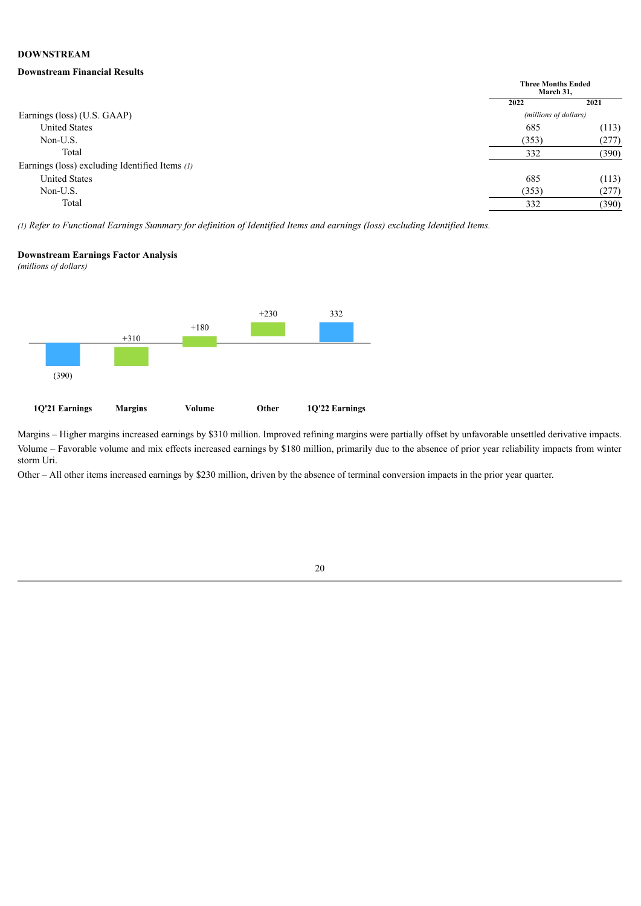### **DOWNSTREAM**

#### **Downstream Financial Results**

|                                                | <b>Three Months Ended</b><br>March 31, |       |
|------------------------------------------------|----------------------------------------|-------|
|                                                | 2022                                   | 2021  |
| Earnings (loss) (U.S. GAAP)                    | (millions of dollars)                  |       |
| <b>United States</b>                           | 685                                    | (113) |
| Non-U.S.                                       | (353)                                  | (277) |
| Total                                          | 332                                    | (390) |
| Earnings (loss) excluding Identified Items (1) |                                        |       |
| <b>United States</b>                           | 685                                    | (113) |
| Non-U.S.                                       | (353)                                  | (277) |
| Total                                          | 332                                    | (390) |

(1) Refer to Functional Earnings Summary for definition of Identified Items and earnings (loss) excluding Identified Items.

## **Downstream Earnings Factor Analysis**

*(millions of dollars)*



Margins – Higher margins increased earnings by \$310 million. Improved refining margins were partially offset by unfavorable unsettled derivative impacts. Volume – Favorable volume and mix effects increased earnings by \$180 million, primarily due to the absence of prior year reliability impacts from winter storm Uri.

Other – All other items increased earnings by \$230 million, driven by the absence of terminal conversion impacts in the prior year quarter.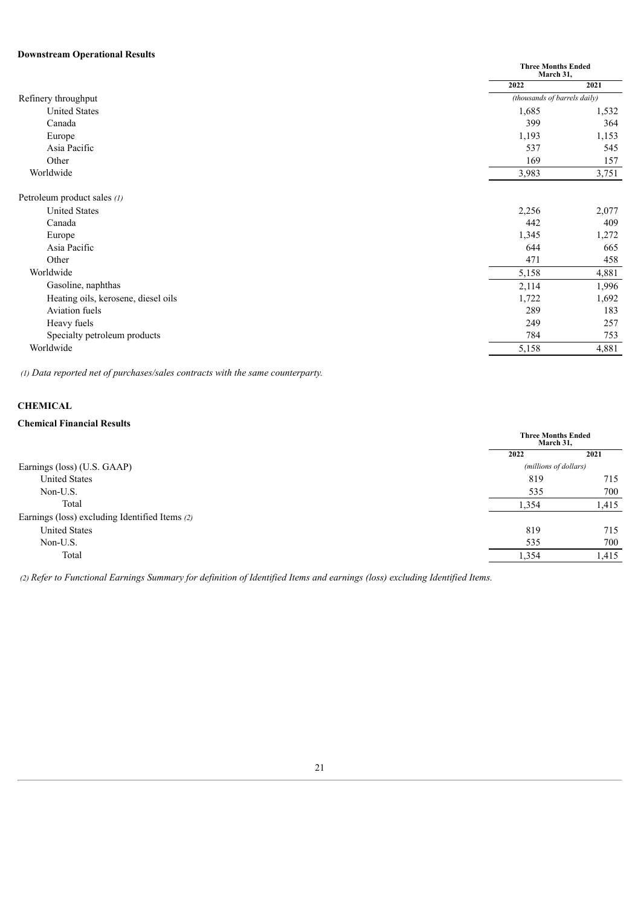## **Downstream Operational Results**

|                                     |                              | <b>Three Months Ended</b><br>March 31, |  |
|-------------------------------------|------------------------------|----------------------------------------|--|
|                                     | 2022                         | 2021                                   |  |
| Refinery throughput                 | (thousands of barrels daily) |                                        |  |
| <b>United States</b>                | 1,685                        | 1,532                                  |  |
| Canada                              | 399                          | 364                                    |  |
| Europe                              | 1,193                        | 1,153                                  |  |
| Asia Pacific                        | 537                          | 545                                    |  |
| Other                               | 169                          | 157                                    |  |
| Worldwide                           | 3,983                        | 3,751                                  |  |
| Petroleum product sales (1)         |                              |                                        |  |
| <b>United States</b>                | 2,256                        | 2,077                                  |  |
| Canada                              | 442                          | 409                                    |  |
| Europe                              | 1,345                        | 1,272                                  |  |
| Asia Pacific                        | 644                          | 665                                    |  |
| Other                               | 471                          | 458                                    |  |
| Worldwide                           | 5,158                        | 4,881                                  |  |
| Gasoline, naphthas                  | 2,114                        | 1,996                                  |  |
| Heating oils, kerosene, diesel oils | 1,722                        | 1,692                                  |  |
| Aviation fuels                      | 289                          | 183                                    |  |
| Heavy fuels                         | 249                          | 257                                    |  |
| Specialty petroleum products        | 784                          | 753                                    |  |
| Worldwide                           | 5,158                        | 4,881                                  |  |

*(1) Data reported net of purchases/sales contracts with the same counterparty.*

## **CHEMICAL**

## **Chemical Financial Results**

| <b>Three Months Ended</b><br>March 31, |                       |  |
|----------------------------------------|-----------------------|--|
| 2022                                   | 2021                  |  |
|                                        | (millions of dollars) |  |
| 819                                    | 715                   |  |
| 535                                    | 700                   |  |
| 1,354                                  | 1,415                 |  |
|                                        |                       |  |
| 819                                    | 715                   |  |
| 535                                    | 700                   |  |
| 1,354                                  | 1,415                 |  |
|                                        |                       |  |

(2) Refer to Functional Earnings Summary for definition of Identified Items and earnings (loss) excluding Identified Items.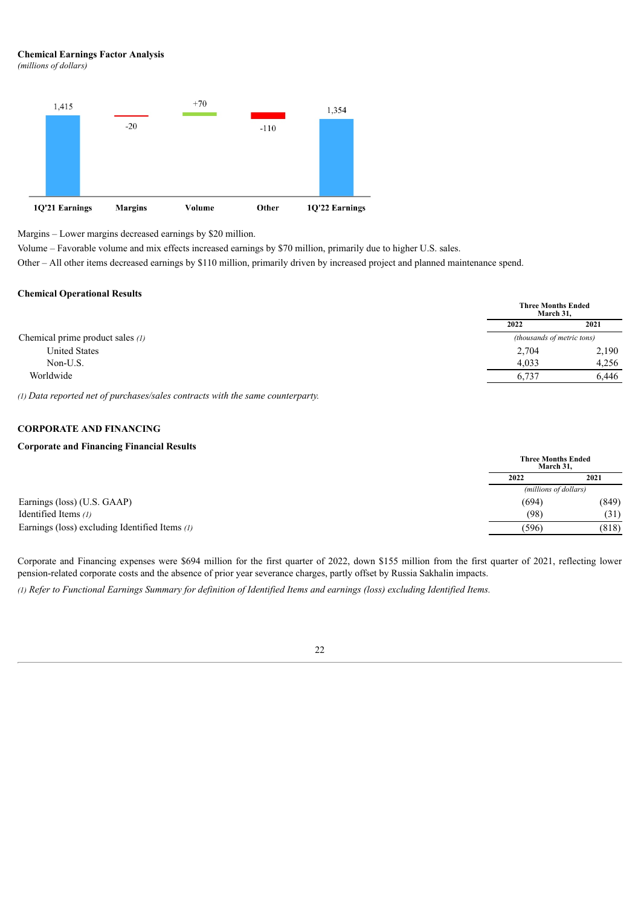#### **Chemical Earnings Factor Analysis**

*(millions of dollars)*



Margins – Lower margins decreased earnings by \$20 million.

Volume – Favorable volume and mix effects increased earnings by \$70 million, primarily due to higher U.S. sales.

Other – All other items decreased earnings by \$110 million, primarily driven by increased project and planned maintenance spend.

#### **Chemical Operational Results**

|                                  |       | <b>Three Months Ended</b><br>March 31, |  |
|----------------------------------|-------|----------------------------------------|--|
|                                  | 2022  | 2021                                   |  |
| Chemical prime product sales (1) |       | (thousands of metric tons)             |  |
| <b>United States</b>             | 2,704 | 2,190                                  |  |
| Non-U.S.                         | 4,033 | 4,256                                  |  |
| Worldwide                        | 6,737 | 6,446                                  |  |
|                                  |       |                                        |  |

*(1) Data reported net of purchases/sales contracts with the same counterparty.*

### **CORPORATE AND FINANCING**

#### **Corporate and Financing Financial Results**

|                                                |       | <b>Three Months Ended</b><br>March 31, |  |
|------------------------------------------------|-------|----------------------------------------|--|
|                                                | 2022  | 2021                                   |  |
|                                                |       | (millions of dollars)                  |  |
| Earnings (loss) (U.S. GAAP)                    | (694) | (849)                                  |  |
| Identified Items $(1)$                         | (98)  | (31)                                   |  |
| Earnings (loss) excluding Identified Items (1) | (596) | (818)                                  |  |
|                                                |       |                                        |  |

Corporate and Financing expenses were \$694 million for the first quarter of 2022, down \$155 million from the first quarter of 2021, reflecting lower pension-related corporate costs and the absence of prior year severance charges, partly offset by Russia Sakhalin impacts.

(1) Refer to Functional Earnings Summary for definition of Identified Items and earnings (loss) excluding Identified Items.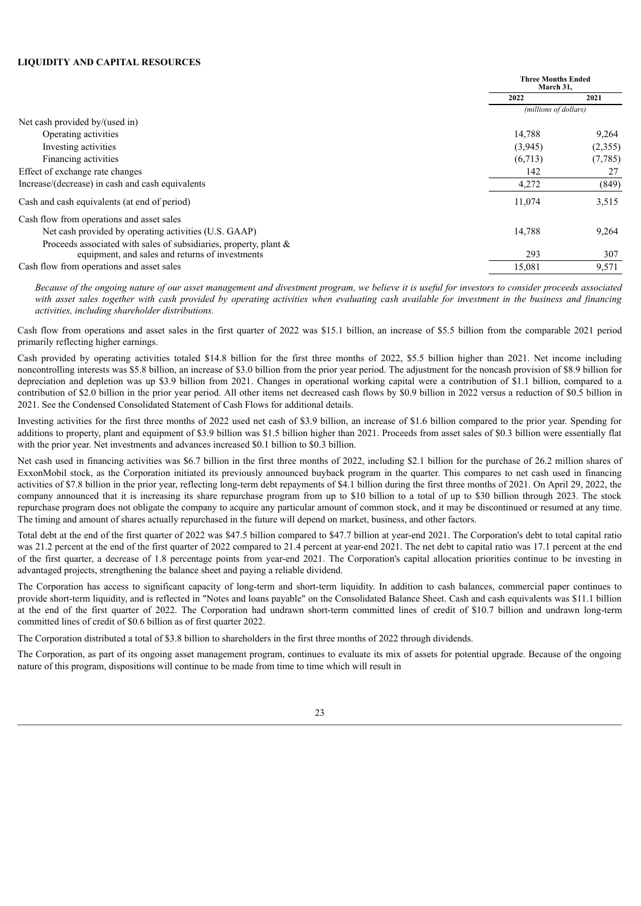#### **LIQUIDITY AND CAPITAL RESOURCES**

|                                                                                                                         | <b>Three Months Ended</b><br>March 31, |         |
|-------------------------------------------------------------------------------------------------------------------------|----------------------------------------|---------|
|                                                                                                                         | 2022                                   | 2021    |
|                                                                                                                         | (millions of dollars)                  |         |
| Net cash provided by/(used in)                                                                                          |                                        |         |
| Operating activities                                                                                                    | 14.788                                 | 9,264   |
| Investing activities                                                                                                    | (3,945)                                | (2,355) |
| Financing activities                                                                                                    | (6,713)                                | (7,785) |
| Effect of exchange rate changes                                                                                         | 142                                    | 27      |
| Increase/(decrease) in cash and cash equivalents                                                                        | 4,272                                  | (849)   |
| Cash and cash equivalents (at end of period)                                                                            | 11,074                                 | 3,515   |
| Cash flow from operations and asset sales                                                                               |                                        |         |
| Net cash provided by operating activities (U.S. GAAP)                                                                   | 14,788                                 | 9,264   |
| Proceeds associated with sales of subsidiaries, property, plant $\&$<br>equipment, and sales and returns of investments | 293                                    | 307     |
| Cash flow from operations and asset sales                                                                               | 15,081                                 | 9,571   |

Because of the ongoing nature of our asset management and divestment program, we believe it is useful for investors to consider proceeds associated with asset sales together with cash provided by operating activities when evaluating cash available for investment in the business and financing *activities, including shareholder distributions.*

Cash flow from operations and asset sales in the first quarter of 2022 was \$15.1 billion, an increase of \$5.5 billion from the comparable 2021 period primarily reflecting higher earnings.

Cash provided by operating activities totaled \$14.8 billion for the first three months of 2022, \$5.5 billion higher than 2021. Net income including noncontrolling interests was \$5.8 billion, an increase of \$3.0 billion from the prior year period. The adjustment for the noncash provision of \$8.9 billion for depreciation and depletion was up \$3.9 billion from 2021. Changes in operational working capital were a contribution of \$1.1 billion, compared to a contribution of \$2.0 billion in the prior year period. All other items net decreased cash flows by \$0.9 billion in 2022 versus a reduction of \$0.5 billion in 2021. See the Condensed Consolidated Statement of Cash Flows for additional details.

Investing activities for the first three months of 2022 used net cash of \$3.9 billion, an increase of \$1.6 billion compared to the prior year. Spending for additions to property, plant and equipment of \$3.9 billion was \$1.5 billion higher than 2021. Proceeds from asset sales of \$0.3 billion were essentially flat with the prior year. Net investments and advances increased \$0.1 billion to \$0.3 billion.

Net cash used in financing activities was \$6.7 billion in the first three months of 2022, including \$2.1 billion for the purchase of 26.2 million shares of ExxonMobil stock, as the Corporation initiated its previously announced buyback program in the quarter. This compares to net cash used in financing activities of \$7.8 billion in the prior year, reflecting long-term debt repayments of \$4.1 billion during the first three months of 2021. On April 29, 2022, the company announced that it is increasing its share repurchase program from up to \$10 billion to a total of up to \$30 billion through 2023. The stock repurchase program does not obligate the company to acquire any particular amount of common stock, and it may be discontinued or resumed at any time. The timing and amount of shares actually repurchased in the future will depend on market, business, and other factors.

Total debt at the end of the first quarter of 2022 was \$47.5 billion compared to \$47.7 billion at year-end 2021. The Corporation's debt to total capital ratio was 21.2 percent at the end of the first quarter of 2022 compared to 21.4 percent at year-end 2021. The net debt to capital ratio was 17.1 percent at the end of the first quarter, a decrease of 1.8 percentage points from year-end 2021. The Corporation's capital allocation priorities continue to be investing in advantaged projects, strengthening the balance sheet and paying a reliable dividend.

The Corporation has access to significant capacity of long-term and short-term liquidity. In addition to cash balances, commercial paper continues to provide short-term liquidity, and is reflected in "Notes and loans payable" on the Consolidated Balance Sheet. Cash and cash equivalents was \$11.1 billion at the end of the first quarter of 2022. The Corporation had undrawn short-term committed lines of credit of \$10.7 billion and undrawn long-term committed lines of credit of \$0.6 billion as of first quarter 2022.

The Corporation distributed a total of \$3.8 billion to shareholders in the first three months of 2022 through dividends.

The Corporation, as part of its ongoing asset management program, continues to evaluate its mix of assets for potential upgrade. Because of the ongoing nature of this program, dispositions will continue to be made from time to time which will result in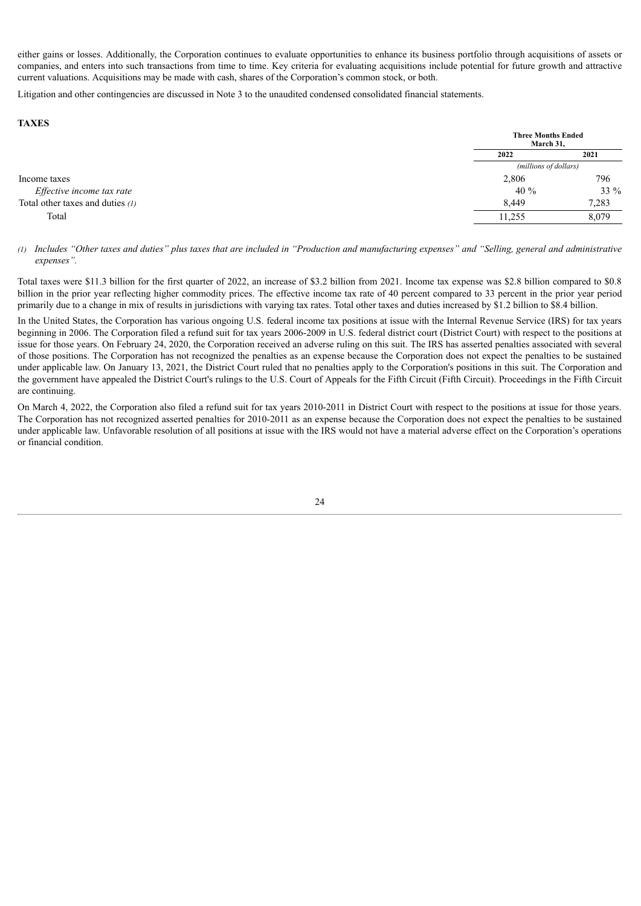either gains or losses. Additionally, the Corporation continues to evaluate opportunities to enhance its business portfolio through acquisitions of assets or companies, and enters into such transactions from time to time. Key criteria for evaluating acquisitions include potential for future growth and attractive current valuations. Acquisitions may be made with cash, shares of the Corporation's common stock, or both.

Litigation and other contingencies are discussed in Note 3 to the unaudited condensed consolidated financial statements.

|                                  | <b>Three Months Ended</b><br>March 31, |        |
|----------------------------------|----------------------------------------|--------|
|                                  | 2022                                   | 2021   |
|                                  | (millions of dollars)                  |        |
| Income taxes                     | 2,806                                  | 796    |
| Effective income tax rate        | 40 $%$                                 | $33\%$ |
| Total other taxes and duties (1) | 8.449                                  | 7,283  |
| Total                            | 11,255                                 | 8,079  |

(1) Includes "Other taxes and duties" plus taxes that are included in "Production and manufacturing expenses" and "Selling, general and administrative *expenses".*

Total taxes were \$11.3 billion for the first quarter of 2022, an increase of \$3.2 billion from 2021. Income tax expense was \$2.8 billion compared to \$0.8 billion in the prior year reflecting higher commodity prices. The effective income tax rate of 40 percent compared to 33 percent in the prior year period primarily due to a change in mix of results in jurisdictions with varying tax rates. Total other taxes and duties increased by \$1.2 billion to \$8.4 billion.

In the United States, the Corporation has various ongoing U.S. federal income tax positions at issue with the Internal Revenue Service (IRS) for tax years beginning in 2006. The Corporation filed a refund suit for tax years 2006-2009 in U.S. federal district court (District Court) with respect to the positions at issue for those years. On February 24, 2020, the Corporation received an adverse ruling on this suit. The IRS has asserted penalties associated with several of those positions. The Corporation has not recognized the penalties as an expense because the Corporation does not expect the penalties to be sustained under applicable law. On January 13, 2021, the District Court ruled that no penalties apply to the Corporation's positions in this suit. The Corporation and the government have appealed the District Court's rulings to the U.S. Court of Appeals for the Fifth Circuit (Fifth Circuit). Proceedings in the Fifth Circuit are continuing.

On March 4, 2022, the Corporation also filed a refund suit for tax years 2010-2011 in District Court with respect to the positions at issue for those years. The Corporation has not recognized asserted penalties for 2010-2011 as an expense because the Corporation does not expect the penalties to be sustained under applicable law. Unfavorable resolution of all positions at issue with the IRS would not have a material adverse effect on the Corporation's operations or financial condition.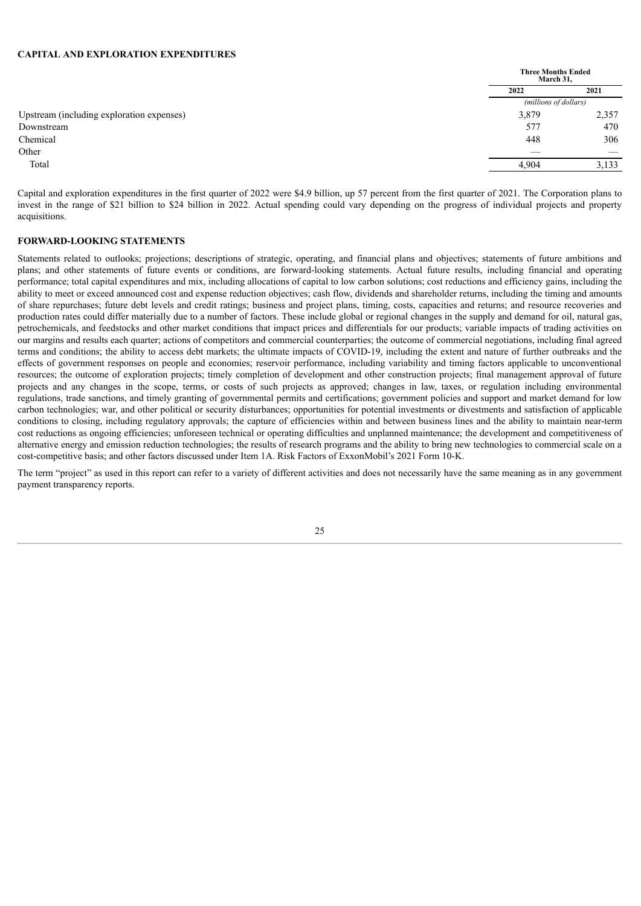#### **CAPITAL AND EXPLORATION EXPENDITURES**

|                                           |                       | <b>Three Months Ended</b><br>March 31, |  |
|-------------------------------------------|-----------------------|----------------------------------------|--|
|                                           | 2022                  | 2021                                   |  |
|                                           | (millions of dollars) |                                        |  |
| Upstream (including exploration expenses) | 3,879                 | 2,357                                  |  |
| Downstream                                | 577                   | 470                                    |  |
| Chemical                                  | 448                   | 306                                    |  |
| Other                                     |                       |                                        |  |
| Total                                     | 4,904                 | 3,133                                  |  |
|                                           |                       |                                        |  |

Capital and exploration expenditures in the first quarter of 2022 were \$4.9 billion, up 57 percent from the first quarter of 2021. The Corporation plans to invest in the range of \$21 billion to \$24 billion in 2022. Actual spending could vary depending on the progress of individual projects and property acquisitions.

#### **FORWARD-LOOKING STATEMENTS**

Statements related to outlooks; projections; descriptions of strategic, operating, and financial plans and objectives; statements of future ambitions and plans; and other statements of future events or conditions, are forward-looking statements. Actual future results, including financial and operating performance; total capital expenditures and mix, including allocations of capital to low carbon solutions; cost reductions and efficiency gains, including the ability to meet or exceed announced cost and expense reduction objectives; cash flow, dividends and shareholder returns, including the timing and amounts of share repurchases; future debt levels and credit ratings; business and project plans, timing, costs, capacities and returns; and resource recoveries and production rates could differ materially due to a number of factors. These include global or regional changes in the supply and demand for oil, natural gas, petrochemicals, and feedstocks and other market conditions that impact prices and differentials for our products; variable impacts of trading activities on our margins and results each quarter; actions of competitors and commercial counterparties; the outcome of commercial negotiations, including final agreed terms and conditions; the ability to access debt markets; the ultimate impacts of COVID-19, including the extent and nature of further outbreaks and the effects of government responses on people and economies; reservoir performance, including variability and timing factors applicable to unconventional resources; the outcome of exploration projects; timely completion of development and other construction projects; final management approval of future projects and any changes in the scope, terms, or costs of such projects as approved; changes in law, taxes, or regulation including environmental regulations, trade sanctions, and timely granting of governmental permits and certifications; government policies and support and market demand for low carbon technologies; war, and other political or security disturbances; opportunities for potential investments or divestments and satisfaction of applicable conditions to closing, including regulatory approvals; the capture of efficiencies within and between business lines and the ability to maintain near-term cost reductions as ongoing efficiencies; unforeseen technical or operating difficulties and unplanned maintenance; the development and competitiveness of alternative energy and emission reduction technologies; the results of research programs and the ability to bring new technologies to commercial scale on a cost-competitive basis; and other factors discussed under Item 1A. Risk Factors of ExxonMobil's 2021 Form 10-K.

The term "project" as used in this report can refer to a variety of different activities and does not necessarily have the same meaning as in any government payment transparency reports.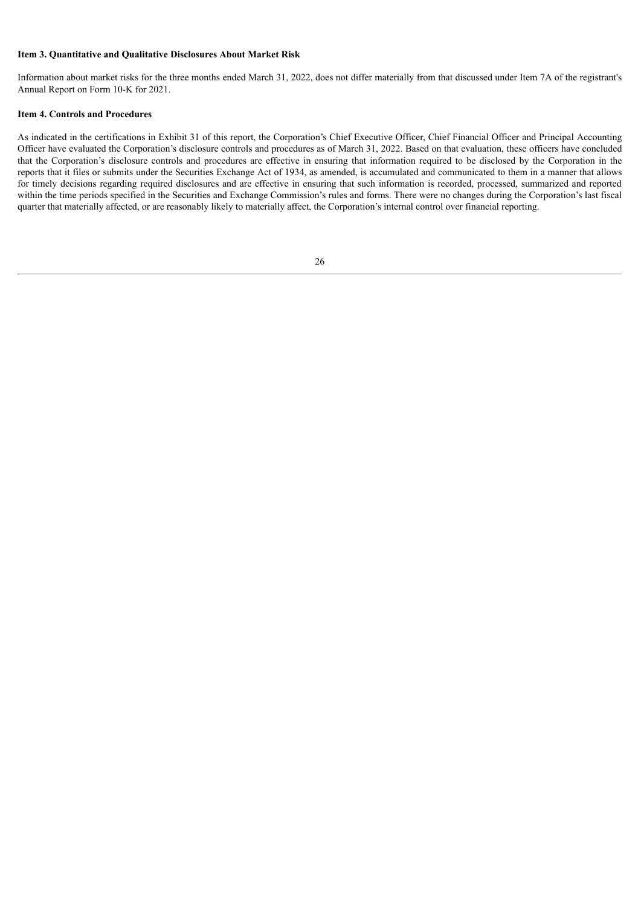#### **Item 3. Quantitative and Qualitative Disclosures About Market Risk**

Information about market risks for the three months ended March 31, 2022, does not differ materially from that discussed under Item 7A of the registrant's Annual Report on Form 10-K for 2021.

#### **Item 4. Controls and Procedures**

As indicated in the certifications in Exhibit 31 of this report, the Corporation's Chief Executive Officer, Chief Financial Officer and Principal Accounting Officer have evaluated the Corporation's disclosure controls and procedures as of March 31, 2022. Based on that evaluation, these officers have concluded that the Corporation's disclosure controls and procedures are effective in ensuring that information required to be disclosed by the Corporation in the reports that it files or submits under the Securities Exchange Act of 1934, as amended, is accumulated and communicated to them in a manner that allows for timely decisions regarding required disclosures and are effective in ensuring that such information is recorded, processed, summarized and reported within the time periods specified in the Securities and Exchange Commission's rules and forms. There were no changes during the Corporation's last fiscal quarter that materially affected, or are reasonably likely to materially affect, the Corporation's internal control over financial reporting.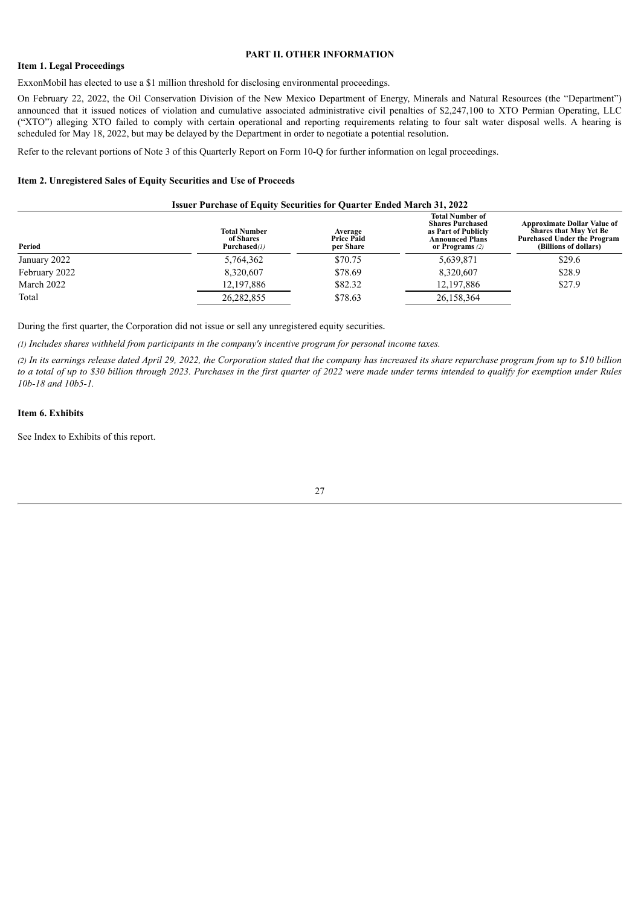### **PART II. OTHER INFORMATION**

#### **Item 1. Legal Proceedings**

ExxonMobil has elected to use a \$1 million threshold for disclosing environmental proceedings.

On February 22, 2022, the Oil Conservation Division of the New Mexico Department of Energy, Minerals and Natural Resources (the "Department") announced that it issued notices of violation and cumulative associated administrative civil penalties of \$2,247,100 to XTO Permian Operating, LLC ("XTO") alleging XTO failed to comply with certain operational and reporting requirements relating to four salt water disposal wells. A hearing is scheduled for May 18, 2022, but may be delayed by the Department in order to negotiate a potential resolution.

Refer to the relevant portions of Note 3 of this Quarterly Report on Form 10-Q for further information on legal proceedings.

#### **Item 2. Unregistered Sales of Equity Securities and Use of Proceeds**

| <b>Issuer Purchase of Equity Securities for Quarter Ended March 31, 2022</b> |                                                  |                                           |                                                                                                                         |                                                                                                                             |  |
|------------------------------------------------------------------------------|--------------------------------------------------|-------------------------------------------|-------------------------------------------------------------------------------------------------------------------------|-----------------------------------------------------------------------------------------------------------------------------|--|
| Period                                                                       | <b>Total Number</b><br>of Shares<br>Purchased/l) | Average<br><b>Price Paid</b><br>per Share | <b>Total Number of</b><br><b>Shares Purchased</b><br>as Part of Publicly<br><b>Announced Plans</b><br>or Programs $(2)$ | <b>Approximate Dollar Value of</b><br>Shares that May Yet Be<br><b>Purchased Under the Program</b><br>(Billions of dollars) |  |
| January 2022                                                                 | 5,764,362                                        | \$70.75                                   | 5,639,871                                                                                                               | \$29.6                                                                                                                      |  |
| February 2022                                                                | 8,320,607                                        | \$78.69                                   | 8,320,607                                                                                                               | \$28.9                                                                                                                      |  |
| March 2022                                                                   | 12,197,886                                       | \$82.32                                   | 12, 197, 886                                                                                                            | \$27.9                                                                                                                      |  |
| Total                                                                        | 26, 282, 855                                     | \$78.63                                   | 26,158,364                                                                                                              |                                                                                                                             |  |

During the first quarter, the Corporation did not issue or sell any unregistered equity securities.

*(1) Includes shares withheld from participants in the company's incentive program for personal income taxes.*

(2) In its earnings release dated April 29, 2022, the Corporation stated that the company has increased its share repurchase program from up to \$10 billion to a total of up to \$30 billion through 2023. Purchases in the first quarter of 2022 were made under terms intended to qualify for exemption under Rules *10b-18 and 10b5-1.*

#### **Item 6. Exhibits**

See Index to Exhibits of this report.

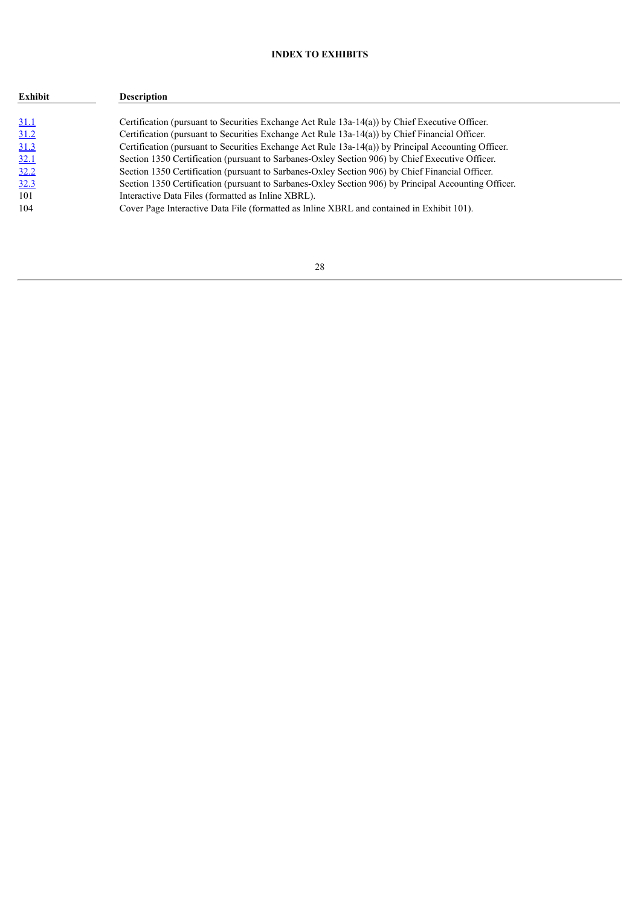## **INDEX TO EXHIBITS**

| Exhibit     | <b>Description</b>                                                                                     |  |
|-------------|--------------------------------------------------------------------------------------------------------|--|
|             |                                                                                                        |  |
| <u>31.1</u> | Certification (pursuant to Securities Exchange Act Rule $13a-14(a)$ ) by Chief Executive Officer.      |  |
| 31.2        | Certification (pursuant to Securities Exchange Act Rule 13a-14(a)) by Chief Financial Officer.         |  |
| 31.3        | Certification (pursuant to Securities Exchange Act Rule $13a-14(a)$ ) by Principal Accounting Officer. |  |
| 32.1        | Section 1350 Certification (pursuant to Sarbanes-Oxley Section 906) by Chief Executive Officer.        |  |
| 32.2        | Section 1350 Certification (pursuant to Sarbanes-Oxley Section 906) by Chief Financial Officer.        |  |
| 32.3        | Section 1350 Certification (pursuant to Sarbanes-Oxley Section 906) by Principal Accounting Officer.   |  |
| 101         | Interactive Data Files (formatted as Inline XBRL).                                                     |  |
| 104         | Cover Page Interactive Data File (formatted as Inline XBRL and contained in Exhibit 101).              |  |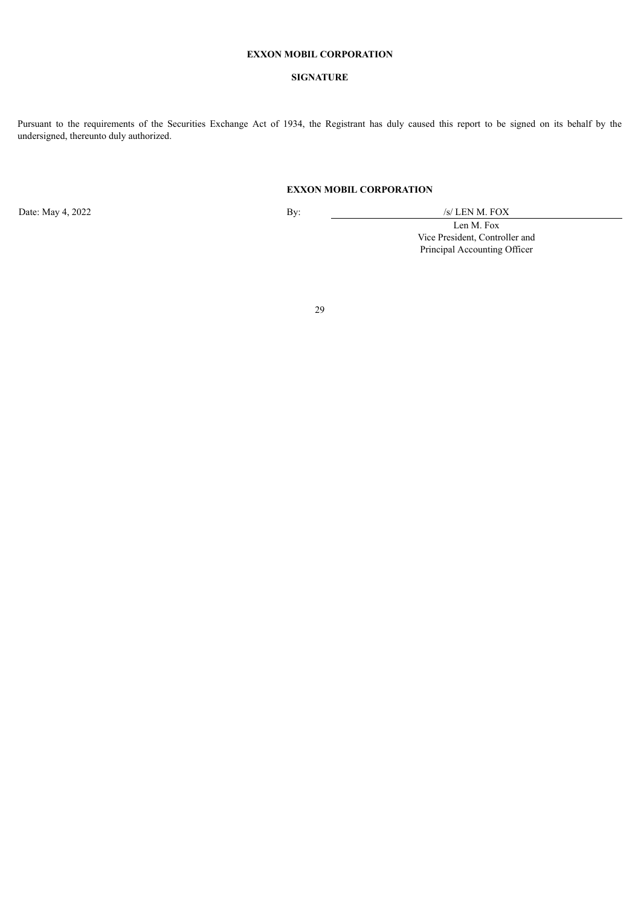## **EXXON MOBIL CORPORATION**

## **SIGNATURE**

Pursuant to the requirements of the Securities Exchange Act of 1934, the Registrant has duly caused this report to be signed on its behalf by the undersigned, thereunto duly authorized.

## **EXXON MOBIL CORPORATION**

Date: May 4, 2022 By: /s/ LEN M. FOX

Len M. Fox Vice President, Controller and Principal Accounting Officer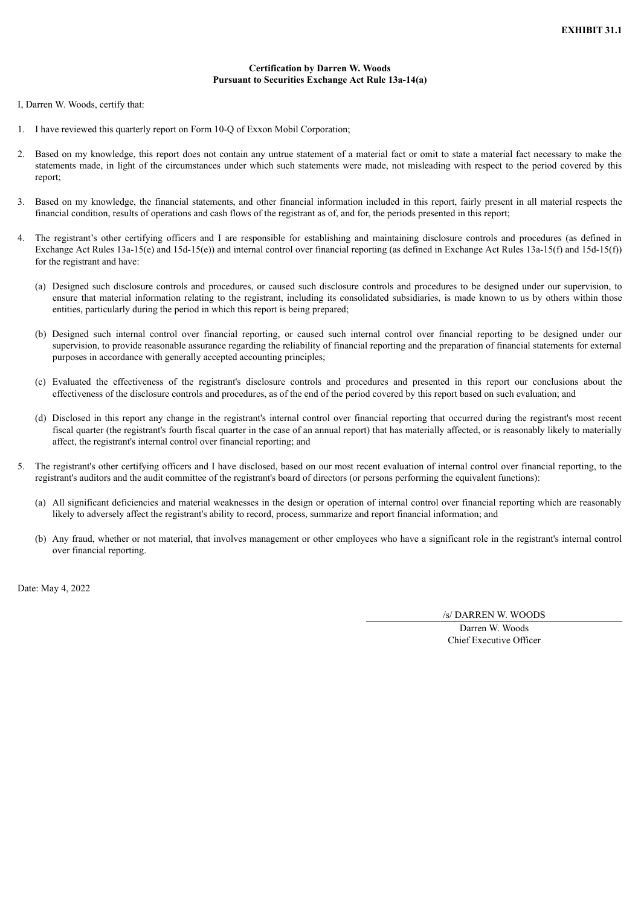#### **Certification by Darren W. Woods Pursuant to Securities Exchange Act Rule 13a-14(a)**

<span id="page-29-0"></span>I, Darren W. Woods, certify that:

- 1. I have reviewed this quarterly report on Form 10-Q of Exxon Mobil Corporation;
- 2. Based on my knowledge, this report does not contain any untrue statement of a material fact or omit to state a material fact necessary to make the statements made, in light of the circumstances under which such statements were made, not misleading with respect to the period covered by this report;
- 3. Based on my knowledge, the financial statements, and other financial information included in this report, fairly present in all material respects the financial condition, results of operations and cash flows of the registrant as of, and for, the periods presented in this report;
- 4. The registrant's other certifying officers and I are responsible for establishing and maintaining disclosure controls and procedures (as defined in Exchange Act Rules 13a-15(e) and 15d-15(e)) and internal control over financial reporting (as defined in Exchange Act Rules 13a-15(f) and 15d-15(f)) for the registrant and have:
	- (a) Designed such disclosure controls and procedures, or caused such disclosure controls and procedures to be designed under our supervision, to ensure that material information relating to the registrant, including its consolidated subsidiaries, is made known to us by others within those entities, particularly during the period in which this report is being prepared;
	- (b) Designed such internal control over financial reporting, or caused such internal control over financial reporting to be designed under our supervision, to provide reasonable assurance regarding the reliability of financial reporting and the preparation of financial statements for external purposes in accordance with generally accepted accounting principles;
	- (c) Evaluated the effectiveness of the registrant's disclosure controls and procedures and presented in this report our conclusions about the effectiveness of the disclosure controls and procedures, as of the end of the period covered by this report based on such evaluation; and
	- (d) Disclosed in this report any change in the registrant's internal control over financial reporting that occurred during the registrant's most recent fiscal quarter (the registrant's fourth fiscal quarter in the case of an annual report) that has materially affected, or is reasonably likely to materially affect, the registrant's internal control over financial reporting; and
- 5. The registrant's other certifying officers and I have disclosed, based on our most recent evaluation of internal control over financial reporting, to the registrant's auditors and the audit committee of the registrant's board of directors (or persons performing the equivalent functions):
	- (a) All significant deficiencies and material weaknesses in the design or operation of internal control over financial reporting which are reasonably likely to adversely affect the registrant's ability to record, process, summarize and report financial information; and
	- (b) Any fraud, whether or not material, that involves management or other employees who have a significant role in the registrant's internal control over financial reporting.

Date: May 4, 2022

/s/ DARREN W. WOODS

Darren W. Woods Chief Executive Officer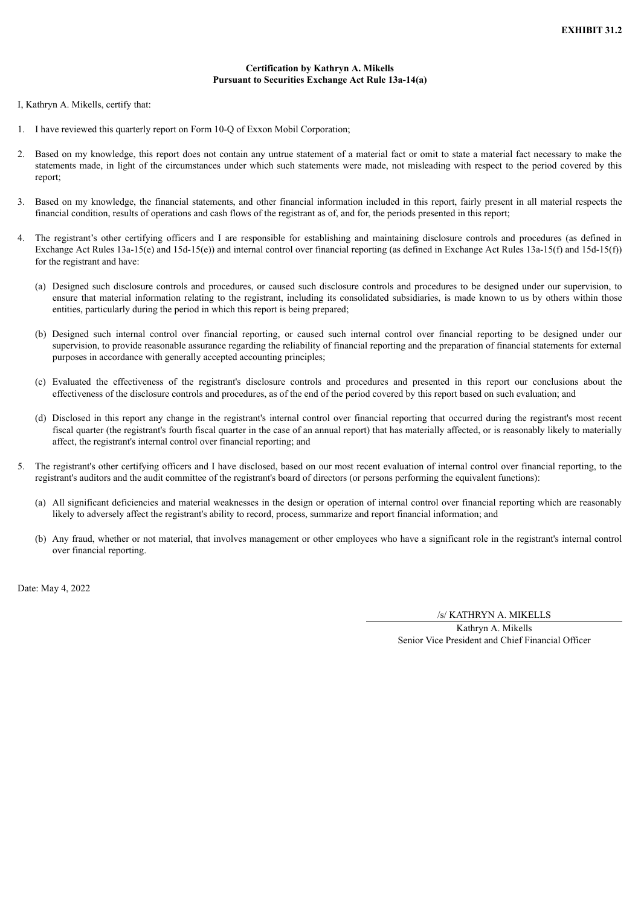#### **Certification by Kathryn A. Mikells Pursuant to Securities Exchange Act Rule 13a-14(a)**

<span id="page-30-0"></span>I, Kathryn A. Mikells, certify that:

- 1. I have reviewed this quarterly report on Form 10-Q of Exxon Mobil Corporation;
- 2. Based on my knowledge, this report does not contain any untrue statement of a material fact or omit to state a material fact necessary to make the statements made, in light of the circumstances under which such statements were made, not misleading with respect to the period covered by this report;
- 3. Based on my knowledge, the financial statements, and other financial information included in this report, fairly present in all material respects the financial condition, results of operations and cash flows of the registrant as of, and for, the periods presented in this report;
- 4. The registrant's other certifying officers and I are responsible for establishing and maintaining disclosure controls and procedures (as defined in Exchange Act Rules 13a-15(e) and 15d-15(e)) and internal control over financial reporting (as defined in Exchange Act Rules 13a-15(f) and 15d-15(f)) for the registrant and have:
	- (a) Designed such disclosure controls and procedures, or caused such disclosure controls and procedures to be designed under our supervision, to ensure that material information relating to the registrant, including its consolidated subsidiaries, is made known to us by others within those entities, particularly during the period in which this report is being prepared;
	- (b) Designed such internal control over financial reporting, or caused such internal control over financial reporting to be designed under our supervision, to provide reasonable assurance regarding the reliability of financial reporting and the preparation of financial statements for external purposes in accordance with generally accepted accounting principles;
	- (c) Evaluated the effectiveness of the registrant's disclosure controls and procedures and presented in this report our conclusions about the effectiveness of the disclosure controls and procedures, as of the end of the period covered by this report based on such evaluation; and
	- (d) Disclosed in this report any change in the registrant's internal control over financial reporting that occurred during the registrant's most recent fiscal quarter (the registrant's fourth fiscal quarter in the case of an annual report) that has materially affected, or is reasonably likely to materially affect, the registrant's internal control over financial reporting; and
- 5. The registrant's other certifying officers and I have disclosed, based on our most recent evaluation of internal control over financial reporting, to the registrant's auditors and the audit committee of the registrant's board of directors (or persons performing the equivalent functions):
	- (a) All significant deficiencies and material weaknesses in the design or operation of internal control over financial reporting which are reasonably likely to adversely affect the registrant's ability to record, process, summarize and report financial information; and
	- (b) Any fraud, whether or not material, that involves management or other employees who have a significant role in the registrant's internal control over financial reporting.

Date: May 4, 2022

/s/ KATHRYN A. MIKELLS Kathryn A. Mikells Senior Vice President and Chief Financial Officer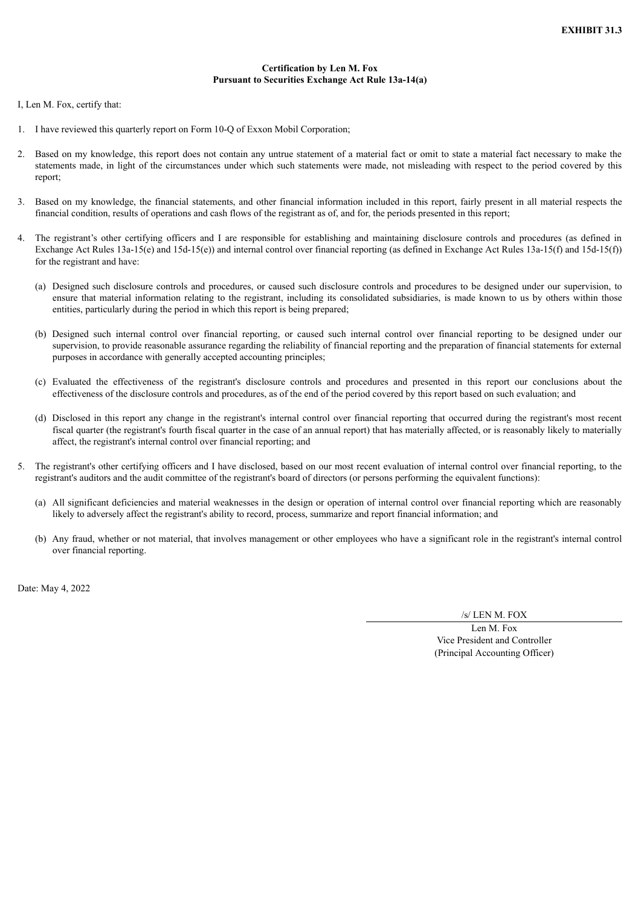#### **Certification by Len M. Fox Pursuant to Securities Exchange Act Rule 13a-14(a)**

<span id="page-31-0"></span>I, Len M. Fox, certify that:

- 1. I have reviewed this quarterly report on Form 10-Q of Exxon Mobil Corporation;
- 2. Based on my knowledge, this report does not contain any untrue statement of a material fact or omit to state a material fact necessary to make the statements made, in light of the circumstances under which such statements were made, not misleading with respect to the period covered by this report;
- 3. Based on my knowledge, the financial statements, and other financial information included in this report, fairly present in all material respects the financial condition, results of operations and cash flows of the registrant as of, and for, the periods presented in this report;
- 4. The registrant's other certifying officers and I are responsible for establishing and maintaining disclosure controls and procedures (as defined in Exchange Act Rules 13a-15(e) and 15d-15(e)) and internal control over financial reporting (as defined in Exchange Act Rules 13a-15(f) and 15d-15(f)) for the registrant and have:
	- (a) Designed such disclosure controls and procedures, or caused such disclosure controls and procedures to be designed under our supervision, to ensure that material information relating to the registrant, including its consolidated subsidiaries, is made known to us by others within those entities, particularly during the period in which this report is being prepared;
	- (b) Designed such internal control over financial reporting, or caused such internal control over financial reporting to be designed under our supervision, to provide reasonable assurance regarding the reliability of financial reporting and the preparation of financial statements for external purposes in accordance with generally accepted accounting principles;
	- (c) Evaluated the effectiveness of the registrant's disclosure controls and procedures and presented in this report our conclusions about the effectiveness of the disclosure controls and procedures, as of the end of the period covered by this report based on such evaluation; and
	- (d) Disclosed in this report any change in the registrant's internal control over financial reporting that occurred during the registrant's most recent fiscal quarter (the registrant's fourth fiscal quarter in the case of an annual report) that has materially affected, or is reasonably likely to materially affect, the registrant's internal control over financial reporting; and
- 5. The registrant's other certifying officers and I have disclosed, based on our most recent evaluation of internal control over financial reporting, to the registrant's auditors and the audit committee of the registrant's board of directors (or persons performing the equivalent functions):
	- (a) All significant deficiencies and material weaknesses in the design or operation of internal control over financial reporting which are reasonably likely to adversely affect the registrant's ability to record, process, summarize and report financial information; and
	- (b) Any fraud, whether or not material, that involves management or other employees who have a significant role in the registrant's internal control over financial reporting.

Date: May 4, 2022

/s/ LEN M. FOX

Len M. Fox Vice President and Controller (Principal Accounting Officer)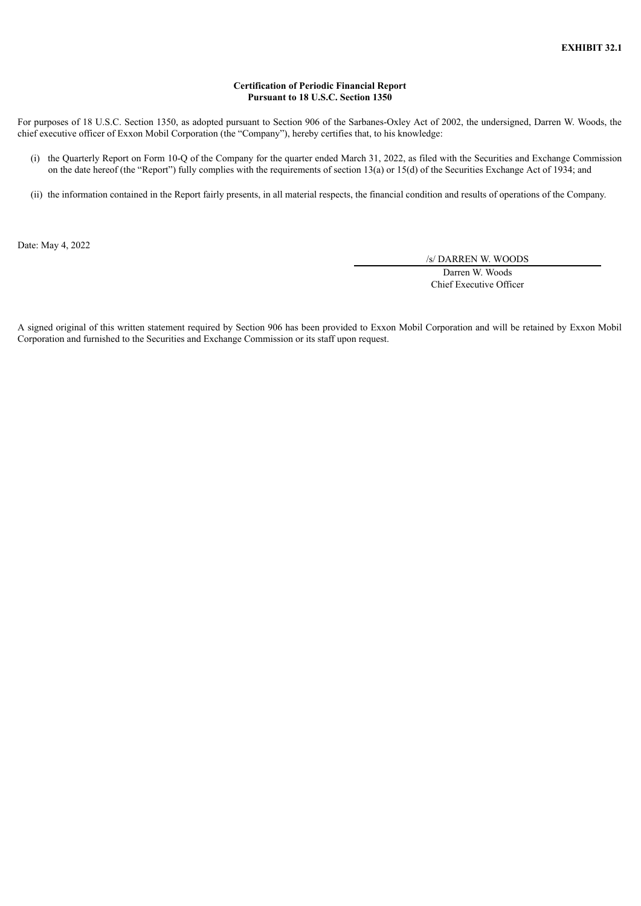#### **Certification of Periodic Financial Report Pursuant to 18 U.S.C. Section 1350**

<span id="page-32-0"></span>For purposes of 18 U.S.C. Section 1350, as adopted pursuant to Section 906 of the Sarbanes-Oxley Act of 2002, the undersigned, Darren W. Woods, the chief executive officer of Exxon Mobil Corporation (the "Company"), hereby certifies that, to his knowledge:

- (i) the Quarterly Report on Form 10-Q of the Company for the quarter ended March 31, 2022, as filed with the Securities and Exchange Commission on the date hereof (the "Report") fully complies with the requirements of section 13(a) or 15(d) of the Securities Exchange Act of 1934; and
- (ii) the information contained in the Report fairly presents, in all material respects, the financial condition and results of operations of the Company.

Date: May 4, 2022

/s/ DARREN W. WOODS

Darren W. Woods Chief Executive Officer

A signed original of this written statement required by Section 906 has been provided to Exxon Mobil Corporation and will be retained by Exxon Mobil Corporation and furnished to the Securities and Exchange Commission or its staff upon request.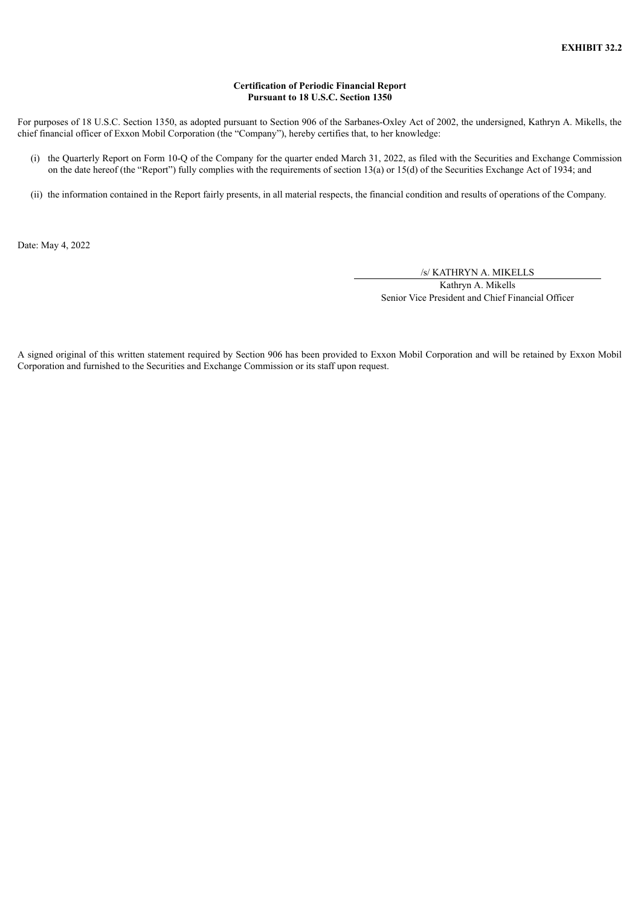#### **Certification of Periodic Financial Report Pursuant to 18 U.S.C. Section 1350**

<span id="page-33-0"></span>For purposes of 18 U.S.C. Section 1350, as adopted pursuant to Section 906 of the Sarbanes-Oxley Act of 2002, the undersigned, Kathryn A. Mikells, the chief financial officer of Exxon Mobil Corporation (the "Company"), hereby certifies that, to her knowledge:

- (i) the Quarterly Report on Form 10-Q of the Company for the quarter ended March 31, 2022, as filed with the Securities and Exchange Commission on the date hereof (the "Report") fully complies with the requirements of section 13(a) or 15(d) of the Securities Exchange Act of 1934; and
- (ii) the information contained in the Report fairly presents, in all material respects, the financial condition and results of operations of the Company.

Date: May 4, 2022

/s/ KATHRYN A. MIKELLS

Kathryn A. Mikells Senior Vice President and Chief Financial Officer

A signed original of this written statement required by Section 906 has been provided to Exxon Mobil Corporation and will be retained by Exxon Mobil Corporation and furnished to the Securities and Exchange Commission or its staff upon request.